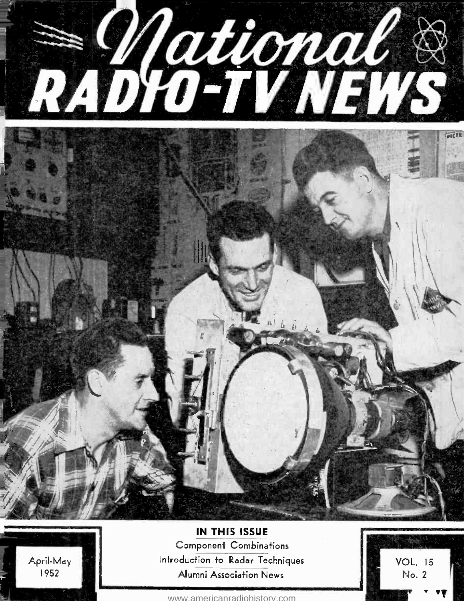

April-May 1952

IN THIS ISSUE Component Combinations Introduction to Radar Techniques Alumni Association News

VOL. 15 No. 2 v vy. **IS** 

<www.americanradiohistory.com>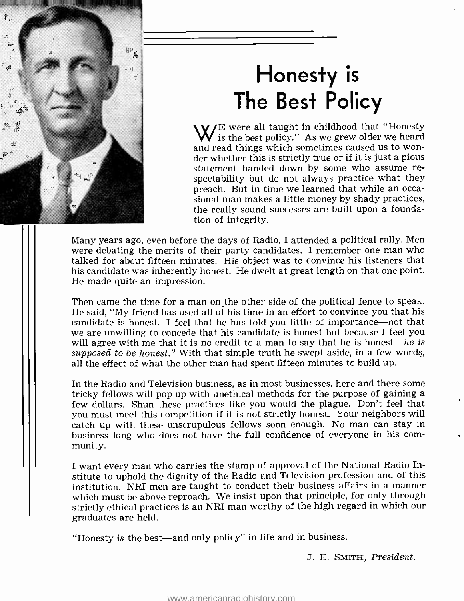

# Honesty is The Best Policy

 $\sqrt{V/E}$  were all taught in childhood that "Honesty  $\boldsymbol{V}$  is the best policy." As we grew older we heard and read things which sometimes caused us to wonder whether this is strictly true or if it is just a pious statement handed down by some who assume respectability but do not always practice what they preach. But in time we learned that while an occasional man makes a little money by shady practices, the really sound successes are built upon a foundation of integrity.

Many years ago, even before the days of Radio, I attended a political rally. Men were debating the merits of their party candidates. I remember one man who talked for about fifteen minutes. His object was to convince his listeners that his candidate was inherently honest. He dwelt at great length on that one point. He made quite an impression.

Then came the time for a man on the other side of the political fence to speak. He said, "My friend has used all of his time in an effort to convince you that his candidate is honest. I feel that he has told you little of importance—not that we are unwilling to concede that his candidate is honest but because I feel you will agree with me that it is no credit to a man to say that he is honest—he is supposed to be honest." With that simple truth he swept aside, in a few words, all the effect of what the other man had spent fifteen minutes to build up.

In the Radio and Television business, as in most businesses, here and there some tricky fellows will pop up with unethical methods for the purpose of gaining a few dollars. Shun these practices like you would the plague. Don't feel that you must meet this competition if it is not strictly honest. Your neighbors will catch up with these unscrupulous fellows soon enough. No man can stay in business long who does not have the full confidence of everyone in his community.

I want every man who carries the stamp of approval of the National Radio Institute to uphold the dignity of the Radio and Television profession and of this institution. NRI men are taught to conduct their business affairs in a manner which must be above reproach. We insist upon that principle, for only through strictly ethical practices is an NRI man worthy of the high regard in which our graduates are held.

"Honesty is the best—and only policy" in life and in business.

J. E. SMITH, President.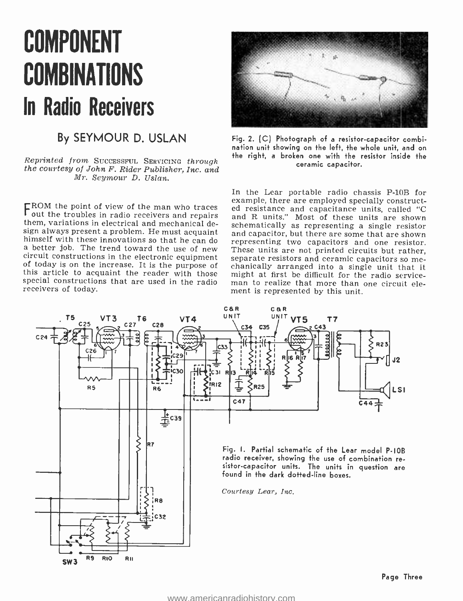# COMPONENT COMBINATIONS In Radio Receivers

## By SEYMOUR D. USLAN

Reprinted from Successful Servicing through the courtesy of John F. Rider Publisher, Inc. and Mr. Seymour D. Uslan.

FROM the point of view of the man who traces<br>Fout the troubles in radio receivers and repairs them, variations in electrical and mechanical de-<br>sign always present a problem. He must acquaint sign always present a problem. He must acquaint<br>himself with these innovations so that he can do<br>negressenting two capacitors and one resistor.<br>a better job. The trend toward the use of new These units are not printed cir special constructions that are used in the radio receivers of today.



Fig. 2. (C) Photograph of a resistor -capacitor combination unit showing on the left, the whole unit, and on the right, a broken one with the resistor inside the ceramic capacitor.

In the Lear portable radio chassis P-10B for example, there are employed specially constructed resistance and capacitance units, called "C and R units." Most of these units are shown schematically as representing a single resistor representing two capacitors and one resistor. These units are not printed circuits but rather, separate resistors and ceramic capacitors so meman to realize that more than one circuit element is represented by this unit.

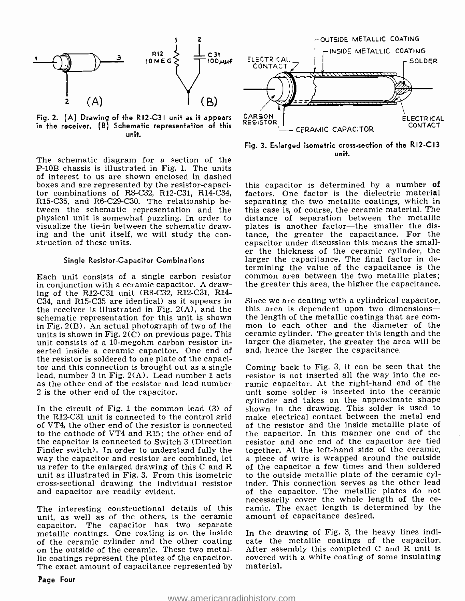

Fig. 2. (A) Drawing of the R12-C3 I unit as it appears in the receiver. (B) Schematic representation of this unit.

The schematic diagram for a section of the P -10B chassis is illustrated in Fig. 1. The units of interest to us are shown enclosed in dashed boxes and are represented by the resistor-capacitor combinations of R8-C32, R12-C31, R14-C34, R15-C35, and R6-C29-C30. The relationship between the schematic representation and the physical unit is somewhat puzzling. In order to visualize the tie -in between the schematic drawing and the unit itself, we will study the con- struction of these units.

### Single Resistor -Capacitor Combinations

in conjunction with a ceramic capacitor. A drawing of the R12-C31 unit (R8-C32, R12-C31, R14- $C34$ , and R15-C35 are identical) as it appears in Since we are dealing with a cylindrical capacitor, the receiver is illustrated in Fig.  $2(A)$ , and the this area is dependent upon two dimensions the receiver is illustrated in Fig. 2(A), and the schematic representation for this unit is shown the length of the metallic coatings that are com-<br>in Fig. 2(B). An actual photograph of two of the mon to each other and the diameter of the in Fig. 2(B). An actual photograph of two of the units is shown in Fig.  $2(C)$  on previous page. This unit consists of a 10-megohm carbon resistor inserted inside a ceramic capacitor. One end of the resistor is soldered to one plate of the capacitor and this connection is brought out as a single Coming back to Fig. 3, it can be seen that the lead, number  $3$  in Fig.  $2(A)$ . Lead number  $1$  acts resistor is not inserted all the way into the celead, number 3 in Fig. 2(A). Lead number 1 acts as the other end of the resistor and lead number 2 is the other end of the capacitor.

In the circuit of Fig. 1 the common lead (3) of the R12 -C31 unit is connected to the control grid of VT4, the other end of the resistor is connected to the cathode of VT4 and R15; the other end of the capacitor is connected to Switch 3 (Direction resistor and one end of the capacitor are tied<br>Finder switch). In order to understand fully the together. At the left-hand side of the ceramic, way the capacitor and resistor are combined, let us refer to the enlarged drawing of this C and R unit as illustrated in Fig. 3. From this isometric cross-sectional drawing the individual resistor and capacitor are readily evident.

unit, as well as of the others, is the ceramic capacitor. The capacitor has two separate metallic coatings. One coating is on the inside of the ceramic cylinder and the other coating on the outside of the ceramic. These two metallic coatings represent the plates of the capacitor. The exact amount of capacitance represented by



Fig. 3. Enlarged isometric cross -section of the R12 -C13 unit.

Each unit consists of a single carbon resistor common area between the two metallic plates;<br>in conjunction with a ceramic capacitor. A draw-<br>the greater this area, the higher the capacitance. this capacitor is determined by a number of factors. One factor is the dielectric material separating the two metallic coatings, which in this case is, of course, the ceramic material. The distance of separation between the metallic plates is another factor-the smaller the distance, the greater the capacitance. For the capacitor under discussion this means the small- er the thickness of the ceramic cylinder, the larger the capacitance. The final factor in determining the value of the capacitance is the

> Since we are dealing with a cylindrical capacitor, the length of the metallic coatings that are comceramic cylinder. The greater this length and the larger the diameter, the greater the area will be and, hence the larger the capacitance.

The interesting constructional details of this ramic. The exact length is determined by the Coming back to Fig. 3, it can be seen that the ramic capacitor. At the right-hand end of the unit some solder is inserted into the ceramic cylinder and takes on the approximate shape shown in the drawing. This solder is used to make electrical contact between the metal end of the resistor and the inside metallic plate of the capacitor. In this manner one end of the resistor and one end of the capacitor are tied a piece of wire is wrapped around the outside of the capacitor a few times and then soldered to the outside metallic plate of the ceramic cylinder. This connection serves as the other lead of the capacitor. The metallic plates do not necessarily cover the whole length of the ceamount of capacitance desired.

> In the drawing of Fig. 3, the heavy lines indicate the metallic coatings of the capacitor. After assembly this completed C and R unit is covered with a white coating of some insulating material.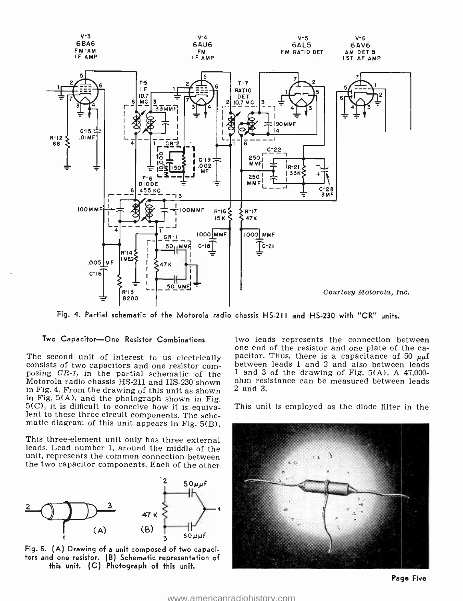

Fig. 4. Partial schematic of the Motorola radio chassis HS-211 and HS -230 with "CR" units.

## Two Capacitor-One Resistor Combinations

Motorola radio chassis HS -211 and HS -230 shown in Fig. 4. From the drawing of this unit as shown<br>in Fig.  $5(A)$ , and the photograph shown in Fig. 5(C), it is difficult to conceive how it is equiva-<br>lent to these three circuit components. The schematic diagram of this unit appears in Fig. 5(B).

This three -element unit only has three external leads. Lead number 1, around the middle of the unit, represents the common connection between the two capacitor components. Each of the other



Fig. 5. (A) Drawing of a unit composed of two capacitors and one resistor. (B) Schematic representation of this unit. (C) Photograph of this unit.

The second unit of interest to us electrically pacitor. Thus, there is a capacitance of 50  $\mu\mu$ f consists of two capacitors and one resistor com-<br>posing CR-1, in the partial schematic of the deals 1 and 2 and also betwe two leads represents the connection between one end of the resistor and one plate of the ca-<br>pacitor. Thus, there is a capacitance of 50  $\mu\mu$ f 1 and 3 of the drawing of Fig.  $5(A)$ . A  $47,000$ -2 and 3.

This unit is employed as the diode filter in the

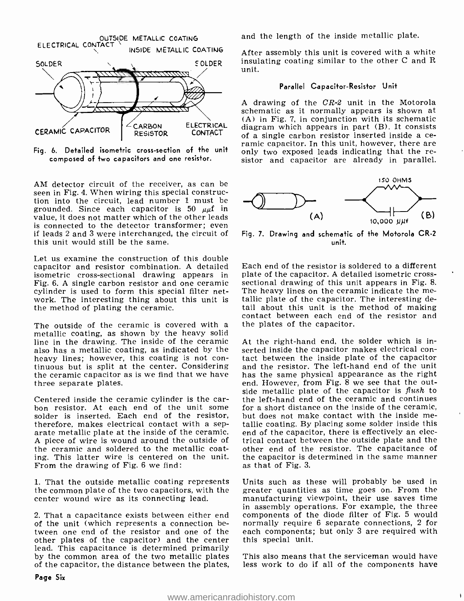

composed of two capacitors and one resistor.

AM detector circuit of the receiver, as can be seen in Fig. 4. When wiring this special construction into the circuit, lead number 1 must be grounded. Since each capacitor is 50  $\mu\mu$ f in value, it does not matter which of the other leads<br>is connected to the detector transformer; even if leads 2 and 3 were interchanged, the circuit of this unit would still be the same.

Let us examine the construction of this double capacitor and resistor combination. A detailed isometric cross-sectional drawing appears in plate of the capacitor. A detailed isometric cross-<br>Fig. 6. A single carbon resistor and one ceramic sectional drawing of this unit appears in Fig. 8. Fig. 6. A single carbon resistor and one ceramic sectional drawing of this unit appears in Fig. 8.<br>cylinder is used to form this special filter net- The heavy lines on the ceramic indicate the mecylinder is used to form this special filter network. The interesting thing about this unit is the method of plating the ceramic.

The outside of the ceramic is covered with a metallic coating, as shown by the heavy solid line in the drawing. The inside of the ceramic also has a metallic coating, as indicated by the serted inside the capacitor makes electrical con-<br>heavy lines; however, this coating is not con- tact between the inside plate of the capacitor heavy lines; however, this coating is not con- tinuous but is split at the center. Considering the ceramic capacitor as is we find that we have three separate plates.

Centered inside the ceramic cylinder is the carbon resistor. At each end of the unit some for a short distance on the inside of the ceramic, solder is inserted. Each end of the resistor, but does not make contact with the inside metherefore, makes electrical contact with a separate metallic plate at the inside of the ceramic. A piece of wire is wound around the outside of the ceramic and soldered to the metallic coating. This latter wire is centered on the unit. the capacitor is d<br>From the drawing of Fig. 6 we find: as that of Fig. 3. From the drawing of Fig. 6 we find:

1. That the outside metallic coating represents the common plate of the two capacitors, with the center wound wire as its connecting lead.

2. That a capacitance exists between either end of the unit (which represents a connection between one end of the resistor and one of the other plates of the capacitor) and the center<br>lead. This capacitance is determined primarily by the common area of the two metallic plates of the capacitor, the distance between the plates, and the length of the inside metallic plate.

After assembly this unit is covered with a white insulating coating similar to the other C and R unit.

## Parallel Capacitor-Resistor Unit

ramic capacitor. In this unit, however, there are<br>Fig. 6. Detailed isometric cross-section of the unit only two exposed leads indicating that the re-A drawing of the  $CR-2$  unit in the Motorola schematic as it normally appears is shown at (A) in Fig. 7, in conjunction with its schematic diagram which appears in part (B). It consists sistor and capacitor are already in parallel.



Fig. 7. Drawing and schematic of the Motorola CR-2 unit.

Each end of the resistor is soldered to a different plate of the capacitor. A detailed isometric crosstallic plate of the capacitor. The interesting detail about this unit is the method of making contact between each end of the resistor and the plates of the capacitor.

At the right-hand end, the solder which is inserted inside the capacitor makes electrical conand the resistor. The left-hand end of the unit has the same physical appearance as the right end. However, from Fig. 8 we see that the outside metallic plate of the capacitor is flush to the left -hand end of the ceramic and continues for a short distance on the inside of the ceramic, tallic coating. By placing some solder inside this end of the capacitor, there is effectively an electrical contact between the outside plate and the other end of the resistor. The capacitance of the capacitor is determined in the same manner

Units such as these will probably be used in greater quantities as time goes on. From the manufacturing viewpoint, their use saves time in assembly operations. For example, the three components of the diode filter of Fig. 5 would normally require 6 separate connections, 2 for each components; but only 3 are required with this special unit.

This also means that the serviceman would have less work to do if all of the components have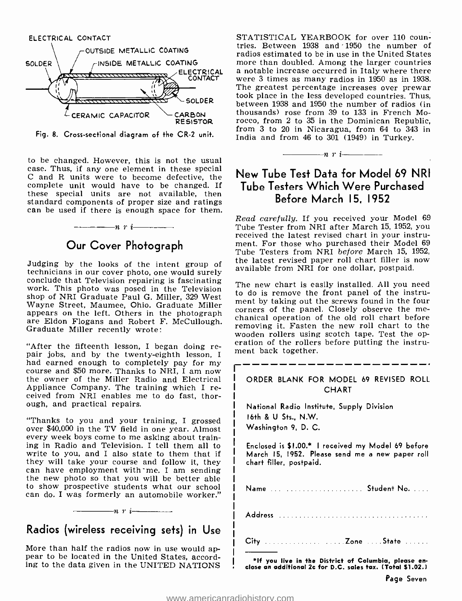

Fig. 8. Cross-sectional diagram of the CR-2 unit.

to be changed. However, this is not the usual case. Thus, if any one element in these special C and R units were to become defective, the complete unit would have to be changed. If these special units are not available, then standard components of proper size and ratings can be used if there is enough space for them.

## Our Cover Photograph

 $-\cdots -n r$  i

conclude that Television repairing is fascinating work. This photo was posed in the Television shop of NRI Graduate Paul G. Miller, 329 West<br>Wayne Street, Maymas, Ohia, Graduate Miller, ment by taking out the screws found in the four Wayne Street, Maumee, Ohio. Graduate Miller appears on the left. Others in the photograph corners of the panel. Closely observe the meare Eldon Flogans and Robert F. McCullough. Graduate Miller recently wrote:

"After the fifteenth lesson, I began doing re- pair jobs, and by the twenty- eighth lesson, <sup>I</sup> course and \$50 more. Thanks to NRI, I am now<br>the owner of the Miller Radio and Electrical Appliance Company. The training which I re- ceived from NRI enables me to do fast, thorough, and practical repairs.

"Thanks to you and your training, I grossed over \$40,000 in the TV field in one year. Almost every week boys come to me asking about training in Radio and Television. I tell them all to write to you, and I also state to them that if<br>they will take your course and follow it, they can have employment with me. I am sending<br>the new photo so that you will be better able<br>to show prospective students what our school can do. I was formerly an automobile worker."

## Radios (wireless receiving sets) in Use

 $\frac{1}{n}$  r i  $\frac{1}{n}$ 

More than half the radios now in use would appear to be located in the United States, according to the data given in the UNITED NATIONS STATISTICAL YEARBOOK for over 110 countries. Between 1938 and 1950 the number of radios estimated to be in use in the United States more than doubled. Among the larger countries<br>a notable increase occurred in Italy where there<br>were 3 times as many radios in 1950 as in 1938. The greatest percentage increases over prewar took place in the less developed countries. Thus, thousands) rose from 39 to 133 in French Mo-<br>rocco, from 2 to 35 in the Dominican Republic, from  $3$  to  $20$  in Nicaragua, from 64 to 343 in India and from  $46$  to  $301$  (1949) in Turkey.

## New Tube Test Data for Model 69 NRI Tube Testers Which Were Purchased Before March 15, 1952

 $n r$  i

Judging by the looks of the intent group of the latest revised paper roll chart filler is now<br>technicians in our cover photo, one would surely available from NRI for one dollar, postpaid. Read carefully. If you received your Model 69 Tube Tester from NRI after March 15, 1952, you received the latest revised chart in your instrument. For those who purchased their Model 69 Tube Testers from NRI before March 15, 1952, available from NRI for one dollar, postpaid.

> The new chart is easily installed. All you need to do is remove the front panel of the instrucorners of the panel. Closely observe the meremoving it. Fasten the new roll chart to the wooden rollers using scotch tape. Test the opment back together.

## r------<br>! ORDER BLANK FOR MODEL 69 REVISED ROLL **CHART**

National Radio Institute, Supply Division 16th & U Sts., N.W. Washington 9, D. C.

Enclosed is \$I.00.\* I received my Model 69 before March 15, 1952. Please send me a new paper roll chart filler, postpaid.

| Name   Student No. |
|--------------------|
|                    |
| City Zone State    |

'If you live in the District of Columbia, please en- close an additional 2c for D.C. sales tax. (Total \$1.02.1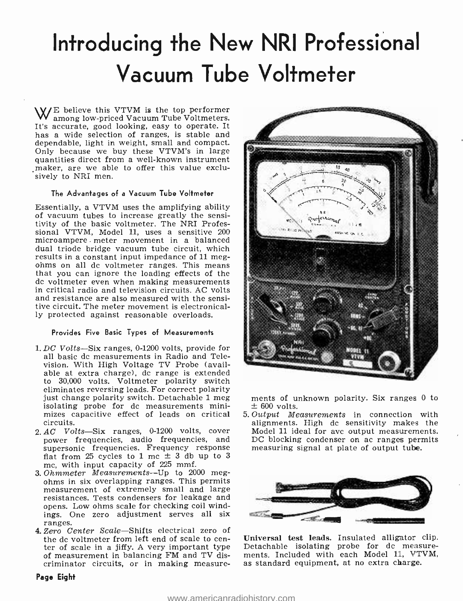# Introducing the New NRI Professional Vacuum Tube Voltmeter

 $W_{\text{amount}}$  believe this VTVM is the top performer among low-priced Vacuum Tube Voltmeters. It's accurate, good looking, easy to operate. It has a wide selection of ranges, is stable and dependable, light in weight, small and compact. Only because we buy these VTVM's in large quantities direct from a well-known instrument maker, are we able to offer this value exclusively to NRI men.

### The Advantages of a Vacuum Tube Voltmeter

Essentially, a VTVM uses the amplifying ability of vacuum tubes to increase greatly the sensitivity of the basic voltmeter. The NRI Professional VTVM, Model 11, uses a sensitive 200 microampere . meter movement in a balanced dual triode bridge vacuum tube circuit, which results in a constant input impedance of 11 megohms on all dc voltmeter ranges. This means that you can ignore the loading effects of the do voltmeter even when making measurements in critical radio and television circuits. AC volts and resistance are also measured with the sensitive circuit. The meter movement is electronically protected against reasonable overloads.

### Provides Five Basic Types of Measurements

- 1. DC Volts-Six ranges, 0-1200 volts, provide for all basic do measurements in Radio and Television. With High Voltage TV Probe (available at extra charge), dc range is extended to 30,000 volts. Voltmeter polarity switch<br>eliminates reversing leads. For correct polarity just change polarity switch. Detachable 1 meg isolating probe for dc measurements minimizes capacitive effect of leads on critical circuits.<br>2.AC Volts—Six ranges, 0-1200 volts, cover
- supersonic frequencies. Frequency response flat from 25 cycles to 1 mc  $\pm$  3 db up to 3 mc, with input capacity of 225 mmf.
- 3. Ohmmeter Measurements--Up to 2000 megohms in six overlapping ranges. This permits measurement of extremely small and large resistances. Tests condensers for leakage and opens. Low ohms scale for checking coil windings. One zero adjustment serves all six ranges.
- 4. Zero Center Scale Shifts electrical zero of<br>the dc voltmeter from left end of scale to cenof measurement in balancing FM and TV discriminator circuits, or in making measure-



ments of unknown polarity. Six ranges 0 to  $\pm$  600 volts.

power frequencies, audio frequencies, and DC blocking condenser on ac ranges permits 5. Output Measurements in connection with alignments. High do sensitivity makes the Model 11 ideal for avc output measurements. measuring signal at plate of output tube.



ter of scale in a jiffy. A very important type Detachable isolating probe for dc measure-<br>of measurement in balancing FM and TV dis- ments. Included with each Model 11, VTVM, Universal test leads. Insulated alligator clip. Detachable isolating probe for dc measure-<br>ments. Included with each Model 11, VTVM,<br>as standard equipment, at no extra charge.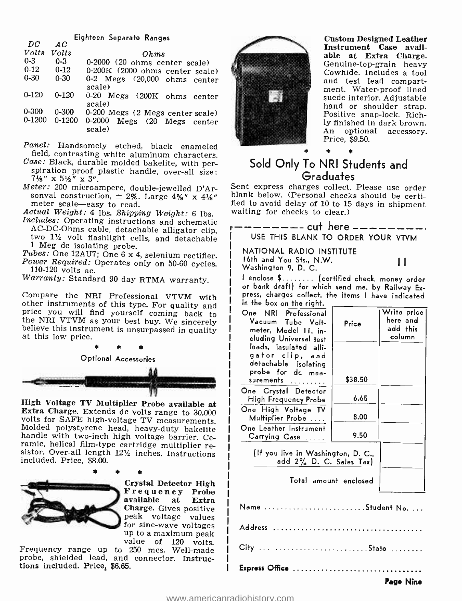|              |            | Eighteen Separate Ranges                    |
|--------------|------------|---------------------------------------------|
| $_{DC}$      | AC         |                                             |
| <b>Volts</b> | Volts      | Ohms                                        |
| $0 - 3$      | $0 - 3$    | 0-2000 (20 ohms center scale)               |
| $0 - 12$     | $0-12$     | 0-200K (2000 ohms center scale)             |
| $0 - 30$     | $0 - 30$   | $0-2$ Megs $(20,000)$ ohms center<br>scale) |
| $0 - 120$    | $0 - 120$  | 0-20 Megs (200K ohms center<br>scale)       |
| $0 - 300$    | $0 - 300$  | 0-200 Megs (2 Megs center scale)            |
| 0-1200       | $0 - 1200$ | 0-2000<br>Megs (20 Megs center<br>scale)    |

Panel: Handsomely etched, black enameled<br>field, contrasting white aluminum characters.

- *Case:* Black, durable molded bakelite, with per-<br>spiration proof plastic handle, over-all size:<br> $7\frac{1}{8}$ " x  $5\frac{1}{2}$ " x 3".
- *Meter:* 200 microampere, double-jewelled  $D'Ar$  Sent express charges collect. Please use order sonval construction,  $\pm$  2%. Large 4%" x 41%" blank below. (Personal checks should be certimeter scale-easy to read.

Actual Weight: 4 lbs. Shipping Weight: 6 lbs. Waiting for checks to clear.)<br>
Includes: Operating instructions and schematic<br>
AC-DC-Ohms cable, detachable alligator clip,  $\begin{bmatrix} - & - & - & - & - & - \end{bmatrix}$  was cable.

two  $1\frac{1}{2}$  volt flashlight cells, and detachable<br>1 Meg dc isolating probe.<br>Tubes: One 12AU7; One 6 x 4, selenium rectifier.<br>Power Required: Operates only on 50-60 cycles,<br>110-120 volts ac.<br>Warranty: Standard 90 day RT

Compare the NRI Professional VTVM with<br>other instruments of this type. For quality and<br>price you will find yourself coming back to<br>the NRI VTVM as your best buy. We sincerely<br>believe this instrument is unsurpassed in quali



High Voltage TV Multiplier Probe available at Extra Charge. Extends dc volts range to 30,000 volts for SAFE high -voltage TV measurements. Molded polystyrene head, heavy-duty bakelite handle with two-inch high voltage barrier. Ce-<br>ramic, helical film-type cartridge multiplier re-<br>sistor. Over-all length 121/2 inches. Instructions<br>included. Price, \$8.00.



Crystal Detector High Frequency Probe available at Extra | N Charge. Gives positive peak voltage values for sine-wave voltages<br>up to a maximum peak up to a maximum peak value of 120 volts.

 $Frequency$  range up to  $250$  mcs. Well-made probe, shielded lead, and connector. Instructions included. Price, \$6.65.



Custom Designed Leather Instrument Case available at Extra Charge. Genuine -top -grain heavy Cowhide. Includes a tool and test lead compart- ment. Water -proof lined suede interior. Adjustable hand or shoulder strap. Positive snap -lock. Richly finished in dark brown. An optional accessory. Price, \$9.50.

## Sold Only To NRI Students and Graduates

Sent express charges collect. Please use order fied to avoid delay of 10 to 15 days in shipment

| USE THIS BLANK TO ORDER YOUR VTVM                                                                                                                                                |         |                                               |
|----------------------------------------------------------------------------------------------------------------------------------------------------------------------------------|---------|-----------------------------------------------|
| NATIONAL RADIO INSTITUTE<br>16th and You Sts., N.W.<br>Washington 9, D. C.                                                                                                       |         |                                               |
| I enclose \$ (certified check, money order<br>or bank draft) for which send me, by Railway Ex-<br>press, charges collect, the items I have indicated<br>in the box on the right. |         |                                               |
| One NRI Professional<br>Vacuum Tube Volt-<br>meter, Model II, in-<br>cluding Universal test                                                                                      | Price   | Write price<br>here and<br>add this<br>column |
| leads, insulated alli-<br>gator clip, and<br>detachable isolating<br>probe for dc mea-<br>surements<br>.                                                                         | \$38.50 |                                               |

| One Crystal Detector<br>High Frequency Probe                  | 6.65                  |  |
|---------------------------------------------------------------|-----------------------|--|
| One High Voltage TV<br>Multiplier Probe                       | 8.00                  |  |
| One Leather Instrument<br>Carrying Case                       | 9.50                  |  |
| (If you live in Washington, D. C.,<br>add 2% D. C. Sales Tax) |                       |  |
|                                                               | Total amount enclosed |  |
| Name Student No.                                              |                       |  |
| Address                                                       |                       |  |
| City  State                                                   |                       |  |
| Express Office                                                |                       |  |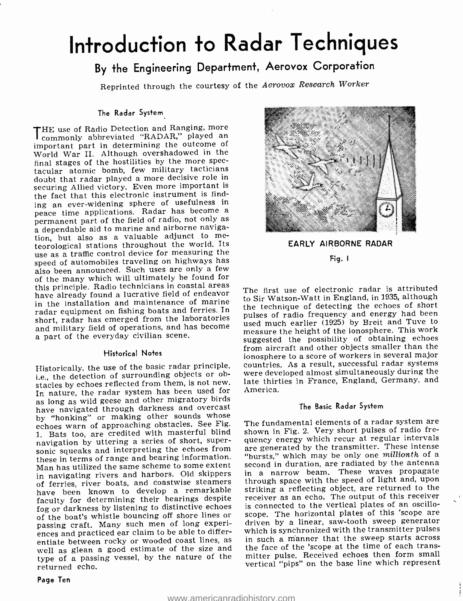# Introduction to Radar Techniques

## By the Engineering Department, Aerovox Corporation

Reprinted through the courtesy of the Aerovox Research Worker

## The Radar System

THE use of Radio Detection and Ranging, more<br>commonly abbreviated "RADAR," played an<br>important part in determining the outcome of World War II. Although overshadowed in the final stages of the hostilities by the more spectacular atomic bomb, few military tacticians doubt that radar played a more decisive role in securing Allied victory. Even more important is the fact that this electronic instrument is finding an ever-widening sphere of usefulness in peace time applications. Radar has become a permanent part of the field of radio, not only as a dependable aid to marine and airborne navigateorological stations throughout the world. Its use as a traffic control device for measuring the speed of automobiles traveling on highways has also been announced. Such uses are only a few of the many which will ultimately be found for this principle. Radio technicians in coastal areas have already found a lucrative field of endeavor in the installation and maintenance of marine radar equipment on fishing boats and ferries. In short, radar has emerged from the laboratories and military field of operations, and has become a part of the everyday civilian scene.

### Historical Notes

i.e., the detection of surrounding objects or obstacles by echoes reflected from them, is not new. In nature, the radar system has been used for as long as wild geese and other migratory birds have navigated through darkness and overcast by "honking" or making other sounds whose echoes warn of approaching obstacles. See Fig. 1. Bats too, are credited with masterful blind navigation by uttering a series of short, supersonic squeaks and interpreting the echoes from are generated by the transmitter. These intense<br>these in terms of range and bearing information. "bursts," which may be only one millionth of a these in terms of range and bearing information. Man has utilized the same scheme to some extent in navigating rivers and harbors. Old skippers of ferries, river boats, and coastwise steamers have been known to develop a remarkable faculty for determining their bearings despite fog or darkness by listening to distinctive echoes passing craft. Many such men of long experi-<br>ences and practiced ear claim to be able to differentiate between rocky or wooded coast lines, as in such a manner that the sweep starts across<br>well as glean a good estimate of the size and ithe face of the scope at the time of each transtype of a passing vessel, by the nature of the returned echo.



EARLY AIRBORNE RADAR Fig. I

Historically, the use of the basic radar principle, countries. As a result, successful radar systems<br>i.e., the detection of surrounding objects or ob-<br>were developed almost simultaneously during the The first use of electronic radar is attributed to Sir Watson -Watt in England, in 1935, although the technique of detecting the echoes of short pulses of radio frequency and energy had been used much earlier (1925) by Breit and Tuve to measure the height of the ionosphere. This work suggested the possibility of obtaining echoes from aircraft and other objects smaller than the ionosphere to a score of workers in several major countries. As a result, successful radar systems late thirties in France, England, Germany, and America.

## The Basic Radar System

The fundamental elements of a radar system are shown in Fig. 2. Very short pulses of radio frequency energy which recur at regular intervals are generated by the transmitter. These intense second in duration, are radiated by the antenna in a narrow beam. These waves propagate through space with the speed of light and, upon striking a reflecting object, are returned to the receiver as an echo. The output of this receiver is connected to the vertical plates of an oscilloscope. The horizontal plates of this 'scope are driven by a linear, saw -tooth sweep generator which is synchronized with the transmitter pulses in such a manner that the sweep starts across mitter pulse. Received echoes then form small vertical "pips" on the base line which represent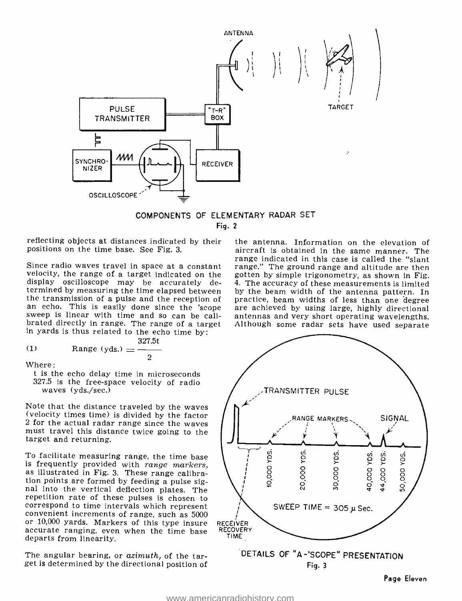

## COMPONENTS OF ELEMENTARY RADAR SET Fig. 2

reflecting objects at distances indicated by their positions on the time base. See Fig. 3.

velocity, the range of a target indicated on the display oscilloscope may be accurately de-<br>termined by measuring the time elapsed between<br>the transmission of a pulse and the reception of an echo. This is easily done since the 'scope are achieved by using large, highly directional sweep is linear with time and so can be cali-<br>brated directly in range. The range of a target Although some radar sets have used separate in yards is thus related to the echo time by:

(1) Range (yds.) 
$$
=\frac{327.5t}{2}
$$

Where :<br>t is the echo delay time in microseconds 327.5 is the free-space velocity of radio waves  $(vds./sec.)$ 

Note that the distance traveled by the waves (velocity times time) is divided by the factor must travel this distance twice going to the target and returning.

To facilitate measuring range, the time base is frequently provided with *range markers*, as illustrated in Fig. 3. These range calibration points are formed by feeding a pulse signal into the vertical deflection plates. The repetition rate of these pulses is chosen to correspond to time intervals which represent convenient increments of range, such as 5000 or 10,000 yards. Markers of this type insure accurate ranging, even when the time base departs from linearity.

The angular bearing, or azimuth, of the target is determined by the directional position of

range indicated in this case is called the "slant<br>Since radio waves travel in space at a constant - range." The ground range and altitude are then the antenna. Information on the elevation of aircraft is obtained in the same manner. The range." The ground range and altitude are then gotten by simple trigonometry, as shown in Fig. 4. The accuracy of these measurements is limited by the beam width of the antenna pattern. In practice, beam widths of less than one degree antennas and very short operating wavelengths.

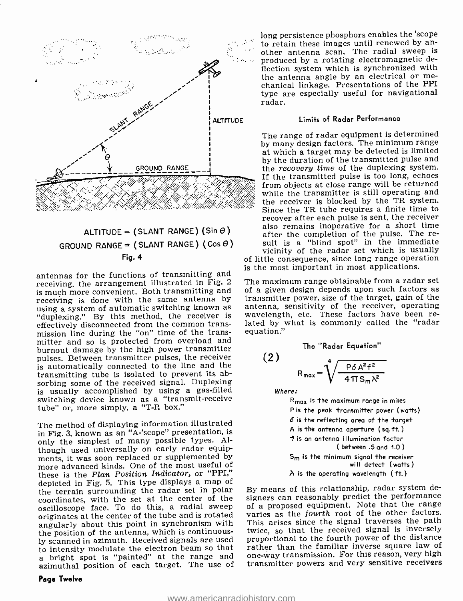

## ALTITUDE =  $(SLANT RANGE) (Sin \theta)$ GROUND RANGE = (SLANT RANGE) (Cos  $\Theta$ ) Fig. 4

antennas for the functions of transmitting and receiving, the arrangement illustrated in Fig. 2 The maximum range obtainable from a radar set<br>is much more convenient. Both transmitting and of a given design depends upon such factors as is much more convenient. Both transmitting and receiving is done with the same antenna by using a system of automatic switching known as "duplexing." By this method, the receiver is wavelength, etc. These factors have been re-<br>effectively disconnected from the common trans- lated by what is commonly called the "radar effectively disconnected from the common transmission line during the "on" time of the transmitter and so is protected from overload and burnout damage by the high power transmitter pulses. Between transmitter pulses, the receiver is automatically connected to the line and the transmitting tube is isolated to prevent its absorbing some of the received signal. Duplexing is usually accomplished by using a gas-filled switching device known as a "transmit-receive tube" or, more simply, a "T-R box."

The method of displaying information illustrated in Fig. 3, known as an "A- 'scope" presentation, is only the simplest of many possible types. Although used universally on early radar equipments, it was soon replaced or supplemented by more advanced kinds. One of the most useful of these is the Plan Position Indicator, or "PPI," depicted in Fig. 5. This type displays a map of the terrain surrounding the radar set in polar coordinates, with the set at the center of the oscilloscope face. To do this, a radial sweep originates at the center of the tube and is rotated angularly about this point in synchronism with the position of the antenna, which is continuously scanned in azimuth. Received signals are used to intensity modulate the electron beam so that a bright spot is "painted" at the range and on azimuthal position of each target. The use of tr

### Page Twelve

long persistence phosphors enables the `scope to retain these images until renewed by an-<br>other antenna scan. The radial sweep is produced by a rotating electromagnetic deflection system which is synchronized with<br>the antenna angle by an electrical or mechanical linkage. Presentations of the PPI type are especially useful for navigational radar.

## Limits of Radar Performance

The range of radar equipment is determined by many design factors. The minimum range at which a target may be detected is limited by the duration of the transmitted pulse and the recovery time of the duplexing system. If the transmitted pulse is too long, echoes from objects at close range will be returned while the transmitter is still operating and the receiver is blocked by the TR system.<br>Since the TR tube requires a finite time to recover after each pulse is sent, the receiver also remains inoperative for a short time<br>after the completion of the pulse. The result is a "blind spot" in the immediate vicinity of the radar set which is usually

of little consequence, since long range operation is the most important in most applications.

The maximum range obtainable from a radar set transmitter power, size of the target, gain of the antenna, sensitivity of the receiver, operating wavelength, etc. These factors have been reequation."

The "Radar Equation"  

$$
R_{max} = \sqrt[4]{\frac{P\delta A^2 f^2}{4 T S_m \lambda^2}}
$$

Where:

(2)

Rmox is the maximum range in miles <sup>P</sup>is the peak transmitter power ( watts)  $6$  is the reflecting area of the target A is the antenna aperture (sq.ft.)<br>f is an antenna illumination factor ( between .5 and 1.0 ) S<sub>m</sub> is the minimum signal the receiver will detect (watts)  $\lambda$  is the operating wavelength (ft.)

By means of this relationship, radar system designers can reasonably predict the performance of a proposed equipment. Note that the range varies as the fourth root of the other factors. This arises since the signal traverses the path twice, so that the received signal is inversely proportional to the fourth power of the distance rather than the familiar inverse square law of<br>one-way transmission. For this reason, very high transmitter powers and very sensitive receivers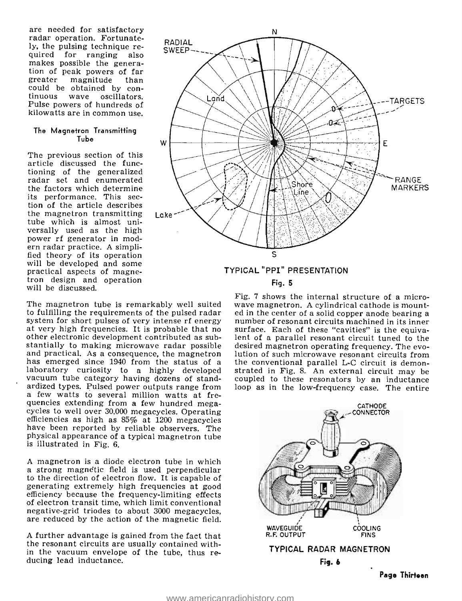are needed for satisfactory radar operation. Fortunatequired for ranging also<br>makes possible the generation of peak powers of far<br>greater magnitude than magnitude could be obtained by con-<br>tinuous wave oscillators. Pulse powers of hundreds of kilowatts are in common use.

### The Magnetron Transmitting Tube

The previous section of this article discussed the func-<br>tioning of the generalized radar set and enumerated the factors which determine its performance. This sec-<br>tion of the article describes<br>the magnetron transmitting tube which is almost universally used as the high<br>power rf generator in modern radar practice. A simplified theory of its operation will be developed and some practical aspects of magnetron design and operation will be discussed.

to fulfilling the requirements of the pulsed radar ed in the center of a solid copper anode bearing a<br>system for short pulses of very intense rf energy number of resonant circuits machined in its inner system for short pulses of very intense rf energy<br>at very high frequencies. It is probable that no<br>other electronic development contributed as sub-<br>stantially to making microwave radar possible and practical. As a consequence, the magnetron<br>has emerged since 1940 from the status of a<br>laboratory curiosity to a highly developed<br>vacuum tube category having dozens of standardized types. Pulsed power outputs range from a few watts to several million watts at frecycles to well over 30,000 megacycles. Operating efficiencies as high as 85% at 1200 megacycles have been reported by reliable observers. The physical appearance of a typical magnetron tube is illustrated in Fig. 6.

<sup>A</sup>magnetron is a diode electron tube in which a strong magnetic field is used perpendicular to the direction of electron flow. It is capable of generating extremely high frequencies at good efficiency because the frequency -limiting effects of electron transit time, which limit conventional negative -grid triodes to about 3000 megacycles, are reduced by the action of the magnetic field.

<sup>A</sup>further advantage is gained from the fact that the resonant circuits are usually contained within the vacuum envelope of the tube, thus re- ducing lead inductance.



TYPICAL "PPI" PRESENTATION

### Fig. 5

Fig. 7 shows the internal structure of a micro-<br>The magnetron tube is remarkably well suited wave magnetron. A cylindrical cathode is mountwave magnetron. A cylindrical cathode is mounted in the center of a solid copper anode bearing a surface. Each of these "cavities" is the equiva-<br>lent of a parallel resonant circuit tuned to the desired magnetron operating frequency. The evo-<br>lution of such microwave resonant circuits from<br>the conventional parallel L-C circuit is demonstrated in Fig. 8. An external circuit may be coupled to these resonators by an inductance loop as in the low-frequency case. The entire

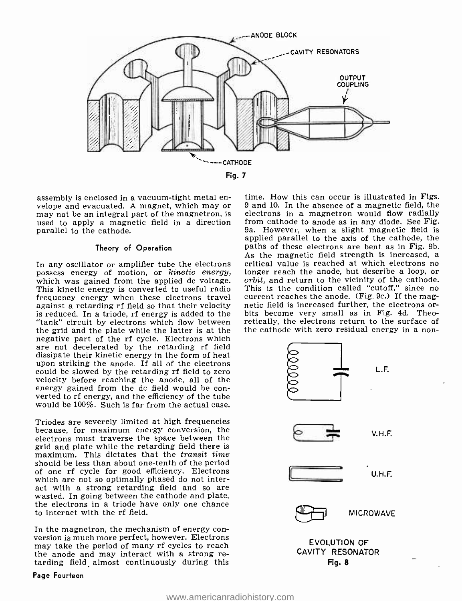

assembly is enclosed in a vacuum-tight metal en-<br>velope and evacuated. A magnet, which may or 9 and 10. In the absence of a magnetic field, the<br>may not be an integral part of the magnetron, is electrons in a magnetron woul used to apply a magnetic field in a direction parallel to the cathode.

## Theory of Operation

possess energy of motion, or kinetic energy, longer reach the anode, but describe a loop, or<br>which was gained from the applied dc voltage. *orbit*, and return to the vicinity of the cathode. which was gained from the applied dc voltage. This kinetic energy is converted to useful radio – This is the condition called "cutoff," since no<br>frequency energy when these electrons travel – current reaches the anode. (Fig.9c.) If the magfrequency energy when these electrons travel – current reaches the anode. (Fig. 9c.) If the mag-<br>against a retarding rf field so that their velocity – netic field is increased further, the electrons oragainst a retarding rf field so that their velocity is reduced. In a triode, rf energy is added to the "tank" circuit by electrons which flow between the grid and the plate while the latter is at the negative part of the rf cycle. Electrons which are not decelerated by the retarding rf field dissipate their kinetic energy in the form of heat upon striking the anode. If all of the electrons could be slowed by the retarding rf field to zero velocity before reaching the anode, all of the energy gained from the dc field would be con- verted to rf energy, and the efficiency of the tube would be  $100\%$ . Such is far from the actual case.

Triodes are severely limited at high frequencies because, for maximum energy conversion, the electrons must traverse the space between the grid and plate while the retarding field there is maximum. This dictates that the *transit time* should be less than about one -tenth of the period of one rf cycle for good efficiency. Electrons which are not so optimally phased do not interact with a strong retarding field and so are wasted. In going between the cathode and plate, the electrons in a triode have only one chance to interact with the rf field.

In the magnetron, the mechanism of energy con- version is much more perfect, however. Electrons may take the period of many rf cycles to reach the anode and may interact with a strong re- tarding field almost continuously during this

### Page Fourteen

In any oscillator or amplifier tube the electrons critical value is reached at which electrons no possess energy of motion, or kinetic energy, longer reach the anode, but describe a loop, or time. How this can occur is illustrated in Figs. 9 and 10. In the absence of a magnetic field, the electrons in a magnetron would flow radially 9a. However, when a slight magnetic field is applied parallel to the axis of the cathode, the paths of these electrons are bent as in Fig. 9b. As the magnetic field strength is increased, a This is the condition called "cutoff," since no bits become very small as in Fig. 4d. Theoretically, the electrons return to the surface of the cathode with zero residual energy in a non-

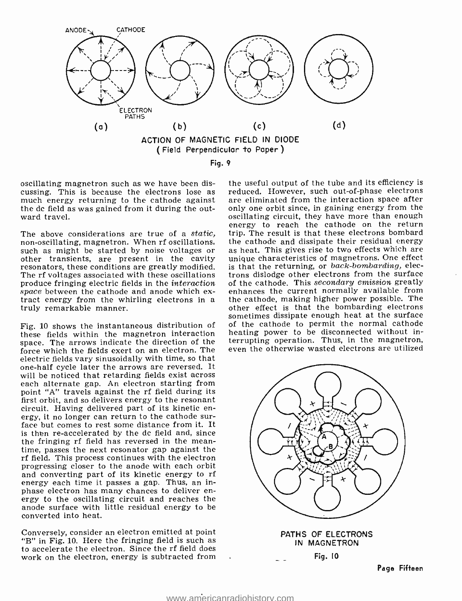

oscillating magnetron such as we have been dismuch energy returning to the cathode against the dc field as was gained from it during the outward travel.

such as might be started by noise voltages or other transients, are present in the cavity resonators, these conditions are greatly modified. The rf voltages associated with these oscillations produce fringing electric fields in the interaction space between the cathode and anode which ex-<br>tract energy from the whirling electrons in a<br>truly remarkable manner.

Fig. 10 shows the instantaneous distribution of these fields within the magnetron interaction space. The arrows indicate the direction of the terrupting operation. Thus, in the magnetron,<br>force which the fields exert on an electron. The even the otherwise wasted electrons are utilized force which the fields exert on an electron. The electric fields vary sinusoidally with time, so that one-half cycle later the arrows are reversed. It will be noticed that retarding fields exist across each alternate gap. An electron starting from point "A" travels against the rf field during its first orbit, and so delivers energy to the resonant ergy, it no longer can return to the cathode sur-<br>face but comes to rest some distance from it. It is then re-accelerated by the dc field and, since the fringing rf field has reversed in the meantime, passes the next resonator gap against the rf field. This process continues with the electron progressing closer to the anode with each orbit and converting part of its kinetic energy to rf energy each time it passes a gap. Thus, an inphase electron has many chances to deliver en-<br>ergy to the oscillating circuit and reaches the anode surface with little residual energy to be converted into heat.

Conversely, consider an electron emitted at point to accelerate the electron. Since the rf field does work on the electron, energy is subtracted from

The above considerations are true of a static, trip. The result is that these electrons bombard non-oscillating, magnetron. When rf oscillations, the cathode and dissipate their residual energy the useful output of the tube and its efficiency is reduced. However, such out-of-phase electrons are eliminated from the interaction space after only one orbit since, in gaining energy from the oscillating circuit, they have more than enough energy to reach the cathode on the return trip. The result is that these electrons bombard as heat. This gives rise to two effects which are unique characteristics of magnetrons. One effect is that the returning, or back-bombarding, electrons dislodge other electrons from the surface of the cathode. This secondary emission greatly enhances the current normally available from the cathode, making higher power possible. The other effect is that the bombarding electrons sometimes dissipate enough heat at the surface of the cathode to permit the normal cathode heating power to be disconnected without interrupting operation. Thus, in the magnetron,

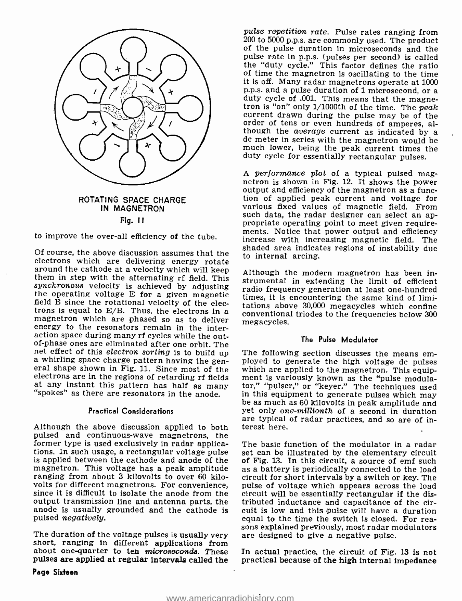

## ROTATING SPACE CHARGE IN MAGNETRON Fig. II

to improve the over -all efficiency of the tube.

Of course, the above discussion assumes that the electrons which are delivering energy rotate them in step with the alternating rf field. This synchronous velocity is achieved by adjusting the operating voltage E for a given magnetic field B since the rotational velocity of the electrons is equal to  $E/B$ . Thus, the electrons in a magnetron which are phased so as to deliver energy to the resonators remain in the inter-<br>action space during many rf cycles while the outof-phase ones are eliminated after one orbit. The **complement of the output of the output** ones are eliminated after one orbit. The **complement of the orbit of the orbit** ones in the following section discusses the means e net effect of this electron sorting is to build up The following section discusses the means email shape shown in Fig. 11. Since most of the which are applied to the magnetron. This equipelectrons are in the regions of ret at any instant this pattern has half as many tor," "pulser," or "keyer." The techniques used<br>"spokes" as there are resonators in the anode. In this equipment to generate pulses which may

### Practical Considerations

Although the above discussion applied to both pulsed and continuous-wave magnetrons, the former type is used exclusively in radar applica-<br>tions. In such usage, a rectangular voltage pulse<br>is applied between the cathode and anode of the of Fig. 13. In this circuit, a source of emf such<br>gapplied between the cat is applied between the cathode and anode of the magnetron. This voltage has a peak amplitude ranging from about 3 kilovolts to over 60 kilovolts for different magnetrons. For convenience, since it is difficult to isolate the anode from the output transmission line and antenna parts, the anode is usually grounded and the cathode is cuit is low and this pulse will have a duration equal to the time the switch is closed. For reapulsed negatively.

The duration of the voltage pulses is usually very short, ranging in different applications from about one-quarter to ten microseconds. These pulses are applied at regular intervals called the

pulse repetition rate. Pulse rates ranging from<br>200 to 5000 p.p.s. are commonly used. The product of the pulse duration in microseconds and the pulse rate in p.p.s. (pulses per second) is called the "duty cycle." This factor defines the ratio of time the magnetron is oscillating to the time it is off. Many radar magnetrons operate at 1000 duty cycle of .001. This means that the magne-<br>tron is "on" only  $1/1000$ th of the time. The *peak*<br>current drawn during the pulse may be of the<br>order of tens or even hundreds of amperes, al-<br>though the *average* current

A performance plot of a typical pulsed magnetron is shown in Fig. 12. It shows the power output and efficiency of the magnetron as a function of applied peak current and voltage for various fixed values of magnetic field. From<br>such data, the radar designer can select an appropriate operating point to meet given requirements. Notice that power output and efficiency increase with increasing magnetic field. The shaded area indicates regions of instability due to internal arcing.

Although the modern magnetron has been instrumental in extending the limit of efficient radio frequency generation at least one -hundred times, it is encountering the same kind of limitations above 30,000 megacycles which confine conventional triodes to the frequencies below 300 megacycles.

### The Pulse Modulator

ployed to generate the high voltage dc pulses tor," "pulser," or "keyer." The techniques used be as much as 60 kilovolts in peak amplitude and yet only one-millionth of a second in duration are typical of radar practices, and so are of interest here.

The basic function of the modulator in a radar set can be illustrated by the elementary circuit as a battery is periodically connected to the load circuit for short intervals by a switch or key. The pulse of voltage which appears across the load circuit will be essentially rectangular if the distributed inductance and capacitance of the circuit is low and this pulse will have a duration sons explained previously, most radar modulators are designed to give a negative pulse.

In actual practice, the circuit of Fig. 13 is not practical because of the high internal impedance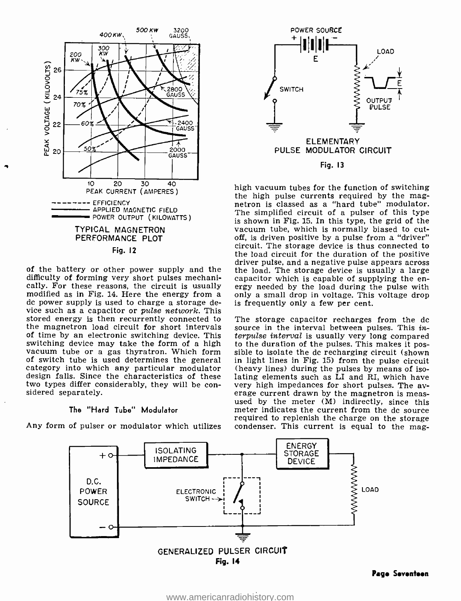

difficulty of forming very short pulses mechanically. For these reasons, the circuit is usually modified as in Fig. 14. Here the energy from a dc power supply is used to charge a storage device such as a capacitor or pulse network. This stored energy is then recurrently connected to The storage capacitor recharges from the dc<br>the magnetron load circuit for short intervals source in the interval between pulses. This inthe magnetron load circuit for short intervals of time by an electronic switching device. This *terpulse interval* is usually very long compared switching device may take the form of a high to the duration of the pulses. This makes it posswitching device may take the form of a high to the duration of the pulses. This makes it pos-<br>vacuum tube or a gas thyratron. Which form sible to isolate the dc recharging circuit (shown<br>of switch tube is used determines category into which any particular modulator design falls. Since the characteristics of these lating elements such as LI and RI, which have<br>two types differ considerably, they will be con- very high impedances for short pulses. The avtwo types differ considerably, they will be con-<br>sidered separately.

## The "Hard Tube" Modulator



driver pulse, and a negative pulse appears across<br>of the battery or other power supply and the the load. The storage device is usually a large<br>difficulty of forming very short pulses mechani- capacitor which is capable of high vacuum tubes for the function of switching the high pulse currents required by the magnetron is classed as a "hard tube" modulator. The simplified circuit of a pulser of this type is shown in Fig. 15. In this type, the grid of the vacuum tube, which is normally biased to cutoff, is driven positive by a pulse from a "driver" circuit. The storage device is thus connected to the load circuit for the duration of the positive<br>driver pulse, and a negative pulse appears across<br>the load. The storage device is usually a large<br>capacitor which is capable of supplying the en-<br>ergy needed by the load du only a small drop in voltage. This voltage drop is frequently only a few per cent.

required to replenish the charge on the storage<br>-Any form of pulser or modulator which utilizes condenser. This current is equal to the mag The storage capacitor recharges from the dc terpulse interval is usually very long compared in light lines in Fig. 15) from the pulse circuit (heavy lines) during the pulses by means of isolating elements such as LI and RI, which have erage current drawn by the magnetron is meas-<br>used by the meter (M) indirectly, since this<br>meter indicates the current from the dc source condenser. This current is equal to the mag-



Page Seventeen

<www.americanradiohistory.com>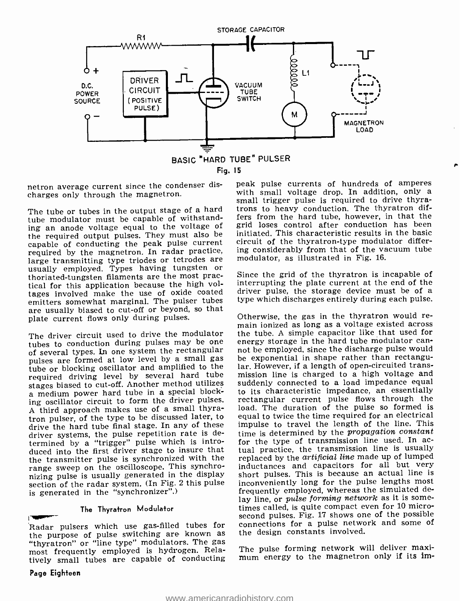

netron average current since the condenser discharges only through the magnetron.

The tube or tubes in the output stage of a hard tube modulator must be capable of withstanding an anode voltage equal to the voltage of the required output pulses. They must also be capable of conducting the peak pulse current required by the magnetron. In radar practice, large transmitting type triodes or tetrodes are mo usually employed. Types having tungsten or thoriated-tungsten filaments are the most practhoriated-tungsten filaments are the most practical for this application because the high voltages involved make the use of oxide coated driver pulse, the storage device must be of a<br>emitters somewhat marginal. The pulser tubes type which discharges entirely during each pulse. are usually biased to cut-off or beyond, so that<br>plate current flows only during pulses.<br>Cherwise, the gas in the thyratron would replate current flows only during pulses.

of several types. In one system the rectangular pulses are formed at low level by a small gas tube or blocking oscillator and amplified to the required driving level by several hard tube stages biased to cut -off. Another method utilizes a medium power hard tube in a special blocking oscillator circuit to form the driver pulses. A third approach makes use of a small thyratron pulser, of the type to be discussed later, to drive the hard tube final stage. In any of these driver systems, the pulse repetition rate is determined by a "trigger" pulse which is introtermined by a "trigger" pulse which is intro-<br>duced into the first driver stage to insure that<br>tual practice, the transmission line is usually the transmitter pulse is synchronized with the range sweep on the oscilloscope. This synchronizing pulse is usually generated in the display section of the radar system. (In Fig. 2 this pulse section of the radar system. (In Fig. 2 this generated in the "synchronizer".)<br>
The Thyratron Modulator<br>
Radar pulsers which use gas-filled tub

Radar pulsers which use gas-filled tubes for the purpose of pulse switching are known as "thyratron" or "line type" modulators. The gas most frequently employed is hydrogen. Relatively small tubes are capable of conducting mum energy to the magnetron only if its im-

Page Eighteen

peak pulse currents of hundreds of amperes with small voltage drop. In addition, only a small trigger pulse is required to drive thyratrons to heavy conduction. The thyratron differs from the hard tube, however, in that the grid loses control after conduction has been initiated. This characteristic results in the basic circuit of the thyratron-type modulator differing considerably from that of the vacuum tube modulator, as illustrated in Fig. 16.

Since the grid of the thyratron is incapable of interrupting the plate current at the end of the driver pulse, the storage device must be of a

The driver circuit used to drive the modulator the tube. A simple capacitor like that used for tubes to conduction during pulses may be one energy storage in the hard tube modulator canmain ionized as long as a voltage existed across<br>the tube. A simple capacitor like that used for not be employed, since the discharge pulse would be exponential in shape rather than rectangular. However, if a length of open-circuited transmission line is charged to a high voltage and suddenly connected to a load impedance equal to its characteristic impedance, an essentially rectangular current pulse flows through the load. The duration of the pulse so formed is equal to twice the time required for an electrical impulse to travel the length of the line. This time is determined by the *propagation constant* tual practice, the transmission line is usually replaced by the artificial line made up of lumped inductances and capacitors for all but very short pulses. This is because an actual line is inconveniently long for the pulse lengths most frequently employed, whereas the simulated delay line, or *pulse forming network* as it is some-<br>times called, is quite compact even for 10 microsecond pulses. Fig. 17 shows one of the possible connections for a pulse network and some of the design constants involved.

The pulse forming network will deliver maxi-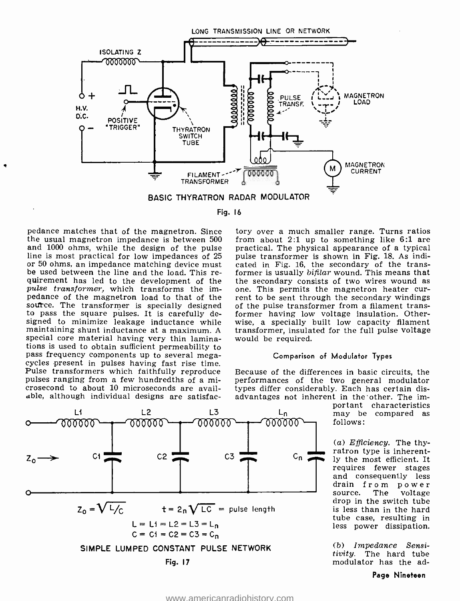

Fig. 16

pedance matches that of the magnetron. Since the usual magnetron impedance is between  $500$  from about 2:1 up to something like  $6:1$  are and  $1000$  ohms, while the design of the pulse practical. The physical appearance of a typical line is most practical for low impedances of 25 or 50 ohms, an impedance matching device must be used between the line and the load. This requirement has led to the development of the the secondary consists of two wires wound as pulse transformer, which transforms the impedance of the magnetron load to that of the rent to be sent through the secondary windings source. The transformer is specially designed to pass the square pulses. It is carefully designed to minimize leakage inductance while maintaining shunt inductance at a maximum. A special core material having very thin laminations is used to obtain sufficient permeability to cycles present in pulses having fast rise time. Pulse transformers which faithfully reproduce pulses ranging from a few hundredths of a microsecond to about 10 microseconds are available, although individual designs are satisfac-

tory over a much smaller range. Turns ratios from about 2:1 up to something like  $6:1$  are pulse transformer is shown in Fig. 18. As indicated in Fig. 16, the secondary of the transformer is usually bifilar wound. This means that one. This permits the magnetron heater curof the pulse transformer from a filament transformer having low voltage insulation. Otherwise, a specially built low capacity filament transformer, insulated for the full pulse voltage would be required.

## Comparison of Modulator Types

Because of the differences in basic circuits, the performances of the two general modulator types differ considerably. Each has certain disadvantages not inherent in the other. The im-

portant characteristics<br>may be compared as

ratron type is inherent-<br>ly the most efficient. It requires fewer stages and consequently less drain from power source. The voltage drop in the switch tube is less than in the hard tube case, resulting in less power dissipation.

(b) Impedance Sensitivity. The hard tube modulator has the ad-

### Page Nineteen



Fig. 17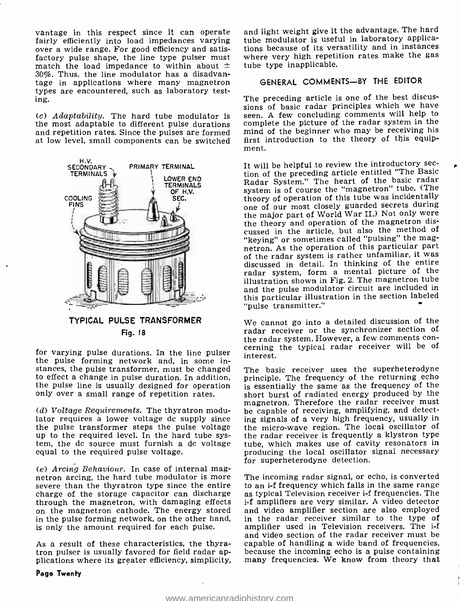vantage in this respect since it can operate fairly efficiently into load impedances varying over a wide range. For good efficiency and satisfactory pulse shape, the line type pulser must match the load impedance to within about  $\pm$ 30 %. Thus, the line modulator has a disadvantage in applications where many magnetron types are encountered, such as laboratory testing.

(c) Adaptability. The hard tube modulator is the most adaptable to different pulse durations and repetition rates. Since the pulses are formed at low level, small components can be switched



## TYPICAL PULSE TRANSFORMER Fig. 18

for varying pulse durations. In the line pulser the pulse forming network and, in some instances, the pulse transformer, must be changed to effect a change in pulse duration. In addition, the pulse line is usually designed for operation only over a small range of repetition rates.

(d) Voltage Requirements. The thyratron modulator requires a lower voltage dc supply since the pulse transformer steps the pulse voltage up to the required level. In the hard tube system, the dc source must furnish a dc voltage equal to the required pulse voltage.

(e)  $Arcing Behavior$ . In case of internal magnetron arcing, the hard tube modulator is more severe than the thyratron type since the entire to an i-f frequency which falls in the same range charge of the storage capacitor can discharge through the magnetron, with damaging effects on the magnetron cathode. The energy stored in the pulse forming network, on the other hand, is only the amount required for each pulse.

As a result of these characteristics, the thyratron pulser is usually favored for field radar applications where its greater efficiency, simplicity,

### Page Twenty

and light weight give it the advantage. The hard tube modulator is useful in laboratory applications because of its versatility and in instances where very high repetition rates make the gas tube type inapplicable.

## GENERAL COMMENTS-BY THE EDITOR

The preceding article is one of the best discus-<br>sions of basic radar principles which we have seen. A few concluding comments will help to complete the picture of the radar system in the mind of the beginner who may be receiving his first introduction to the theory of this equipment.

It will be helpful to review the introductory sec- tion of the preceding article entitled "The Basic Radar System." The heart of the basic radar system is of course the "magnetron" tube. (The one of our most closely guarded secrets during the major part of World War II.) Not only were the theory and operation of the magnetron discussed in the article, but also the method of "keying" or sometimes called "pulsing" the magnetron. As the operation of this particular part of the radar system is rather unfamiliar, it was discussed in detail. In thinking of the entire radar system, form a mental picture of the illustration shown in Fig. 2. The magnetron tube and the pulse modulator circuit are included in this particular illustration in the section labeled "pulse transmitter."

We cannot go into a detailed discussion of the radar receiver or the synchronizer section of the radar system. However, a few comments con- cerning the typical radar receiver will be of interest.

The basic receiver uses the superheterodyne principle. The frequency of the returning echo is essentially the same as the frequency of the short burst of radiated energy produced by the magnetron. Therefore the radar receiver must be capable of receiving, amplifying, and detecting signals of a very high frequency, usually in the micro -wave region. The local oscillator of the radar receiver is frequently a klystron type tube, which makes use of cavity resonators in producing the local oscillator signal necessary for superheterodyne detection.

The incoming radar signal, or echo, is converted as typical Television receiver i-f frequencies. The <sup>i</sup>-f amplifiers are very similar. A video detector and video amplifier section are also employed in the radar receiver similar to the type of amplifier used in Television receivers. The i-f and video section of the radar receiver must be capable of handling a wide band of frequencies, because the incoming echo is a pulse containing many frequencies. We know from theory that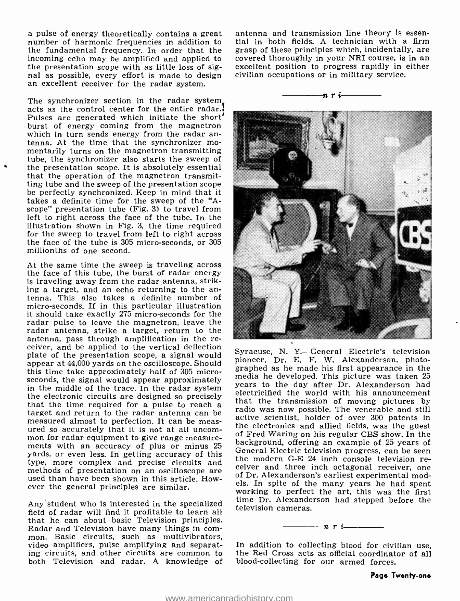a pulse of energy theoretically contains a great antenna and transmission line theory is essen-<br>number of harmonic frequencies in addition to tial in both fields. A technician with a firm the fundamental frequency. In order that the grasp of these principles which, incidentally, are incoming echo may be amplified and applied to covered thoroughly in your NRI course, is in an incoming echo may be amplified and applied to covered thoroughly in your NRI course, is in an the presentation scope with as little loss of sig-<br>the presentation scope with as little loss of sig-<br>excellent position to prog the presentation scope with as little loss of sig-<br>nal as possible, every effort is made to design<br>an excellent receiver for the radar system.

The synchronizer section in the radar system acts as the control center for the entire radar. Pulses are generated which initiate the short burst of energy coming from the magnetron<br>which in turn sends energy from the radar antenna. At the time that the synchronizer mo-<br>mentarily turns on the magnetron transmitting<br>tube, the synchronizer also starts the sweep of the presentation scope. It is absolutely essential that the operation of the magnetron transmitting tube and the sweep of the presentation scope be perfectly synchronized. Keep in mind that it takes a definite time for the sweep of the "Ascope" presentation tube (Fig. 3) to travel from left to right across the face of the tube. In the illustration shown in Fig. 3, the time required for the sweep to travel from left to right across the face of the tube is 305 micro -seconds, or <sup>305</sup> millionths of one second.

At the same time the sweep is traveling across the face of this tube, the burst of radar energy is traveling away from the radar antenna, strik-<br>ing a target, and an echo returning to the antenna. This also takes a definite number of micro -seconds. If in this particular illustration it should take exactly 275 micro -seconds for the radar pulse to leave the magnetron, leave the radar antenna, strike a target, return to the antenna, pass through amplification in the receiver, and be applied to the vertical deflection plate of the presentation scope, a signal would<br>explore the F. F. W. Alexanderson, photo-<br>pioneer, Dr. E. F. W. Alexanderson, photoappear at 44,000 yards on the oscilloscope. Should this time take approximately half of 305 microseconds, the signal would appear approximately<br>in the middle of the trace. In the radar system the electronic circuits are designed so precisely<br>that the transmission of moving pictures by<br>target and return to the radar antenna can be target and return to the radar antenna can be target and return to the radar anten measured almost to perfection. It can be measured so accurately that it is not at all uncom-<br>mon for radar equipment to give range measurements with an accuracy of plus or minus 25 background, offering an example of 25 years of ments of the seen me<br>wards an even large to active accuracy of this General Electric television progress, can be seen yards, or even less. In getting accuracy of this eventual procession progress, can be seen<br>time mane complex and procise significantly the modern G-E 24 inch console television retype, more complex and precise circuits and methods of presentation on an oscilloscope are electrical direct included incorrective, one used than have been shown in this article. How- ever the general principles are similar.

Any student who is interested in the specialized field of radar will find it profitable to learn all that he can about basic Television principles.<br>Radar and Television have many things in common. Basic circuits, such as multivibrators,<br>video amplifiers, pulse amplifying and separat- In addition to collecting blood for civilian use. video amplifiers, pulse amplifying and separat- ing circuits, and other circuits are common to both Television and radar. A knowledge of

tial in both fields. A technician with a firm grasp of these principles which, incidentally, are civilian occupations or in military service.

$$
-- n r i
$$



Syracuse, N. Y.- General Electric's television graphed as he made his first appearance in the media he developed. This picture was taken 25 years to the day after Dr. Alexanderson had electricified the world with his announcement radio was now possible. The venerable and still active scientist, holder of over 300 patents in of Fred Waring on his regular CBS show. In the background, offering an example of 25 years of ceiver and three inch octagonal receiver, one els. In spite of the many years he had spent working to perfect the art, this was the first time Dr. Alexanderson had stepped before the television cameras.

n r <sup>i</sup>

the Red Cross acts as official coordinator of all blood -collecting for our armed forces.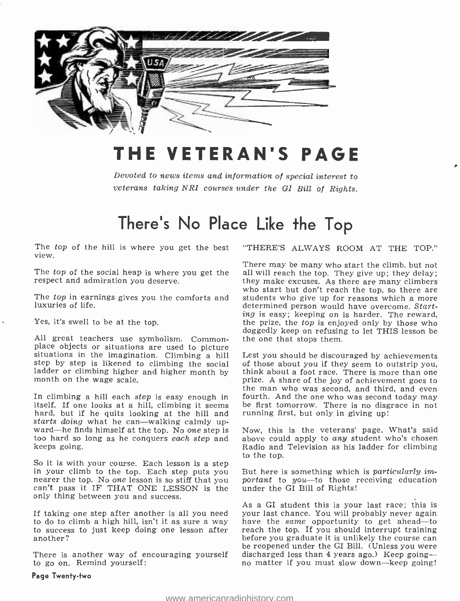

## VETERAN'S PAGE

Devoted to news items and information of special interest to veterans taking NRI courses under the GI Bill of Rights.

## There's No Place Like the Top

The top of the hill is where you get the best view.

respect and admiration you deserve.

luxuries of life.

Yes, it's swell to be at the top.

All great teachers use symbolism. Commonplace objects or situations are used to picture<br>situations in the imagination. Climbing a hill Lest you should be discouraged by achievements<br>step by step is likened to climbing the social of those about you if they seem t step by step is likened to climbing the social ladder or climbing higher and higher month by month on the wage scale.

hard, but if he quits looking at the hill and starts doing what he can—walking calmly upward-he finds himself at the top. No one step is too hard so long as he conquers each step and keeps going.

So it is with your course. Each lesson is a step in your climb to the top. Each step puts you nearer the top. No one lesson is so stiff that you can't pass it IF THAT ONE LESSON is the only thing between you and success.

If taking one step after another is all you need your last chance. You will probably never again<br>to do to climb a high hill, isn't it as sure a way have the same opportunity to get ahead—to to do to climb a high hill, isn't it as sure a way to success to just keep doing one lesson after a reach the top. If you should interrupt training<br>hefore you graduate it is unlikely the course can another?

to go on. Remind yourself:

## "THERE'S ALWAYS ROOM AT THE TOP."

The  $top$  of the social heap is where you get the all will reach the top. They give up; they delay;<br>respect and admiration you deserve. they make excuses. As there are many climbers The *top* in earnings gives you the comforts and students who give up for reasons which a more luxuries of life. There may be many who start the climb, but not all will reach the top. They give up; they delay; who start but don't reach the top, so there are students who give up for reasons which a more determined person would have overcome. Start-<br>ing is easy; keeping on is harder. The reward, the prize, the top is enjoyed only by those who doggedly keep on refusing to let THIS lesson be the one that stops them.

the man who was second, and third, and even<br>In climbing a hill each step is easy enough in fourth. And the one who was second today may<br>itself. If one looks at a hill, climbing it seems be first tomorrow. There is no disgr Lest you should be discouraged by achievements think about a foot race. There is more than one prize. A share of the joy of achievement goes to be first tomorrow. There is no disgrace in not running first, but only in giving up!

> Now, this is the veterans' page. What's said above could apply to any student who's chosen Radio and Television as his ladder for climbing to the top.

> But here is something which is particularly important to you-to those receiving education under the GI Bill of Rights!

There is another way of encouraging yourself discharged less than 4 years ago.) Keep going--As a GI student this is your last race; this is your last chance. You will probably never again reach the top. If you should interrupt training<br>before you graduate it is unlikely the course can<br>be reopened under the GI Bill. (Unless you were no matter if you must slow down-keep going!

### Page Twenty -two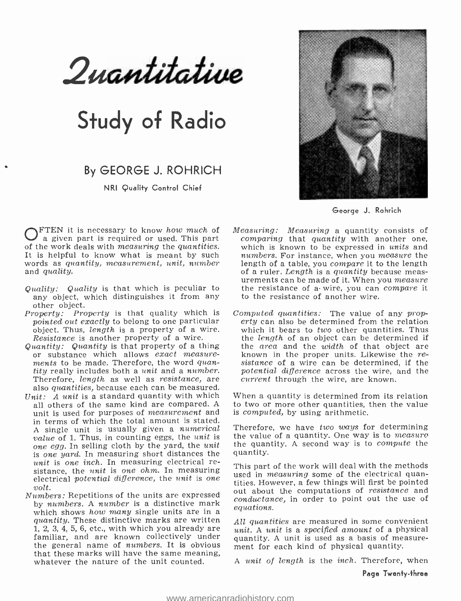Quantitative

# Study of Radio

## By GEORGE J. ROHRICH

NRI Quality Control Chief



George J. Rohrich

 $\mathrm{O}^\mathrm{FTEN}_\mathrm{a}$  it is necessary to know how much of a given part is required or used. This part of the work deals with measuring the quantities. It is helpful to know what is meant by such words as quantity, measurement, unit, number<br>and quality.<br>of a ruler. Length is a quantity because meas-<br>and quality. and quality.

- any object, which distinguishes it from any
- *Property: Property* is that quality which is pointed out exactly to belong to one particular object. Thus, length is a property of a wire. Resistance is another property of a wire.
- Quantity: Quantity is that property of a thing or substance which allows exact measure-Therefore, length as well as resistance, are also quantities, because each can be measured.
- Unit:  $\overline{A}$  unit is a standard quantity with which all others of the same kind are compared. A unit is used for purposes of measurement and in terms of which the total amount is stated. A single unit is usually given a *numerical* value of 1. Thus, in counting eggs, the *unit* is one egg. In selling cloth by the yard, the unit is one yard. In measuring short distances the *unit* is one *inch*. In measuring electrical resistance, the unit is one ohm. In measuring electrical potential difference, the unit is one<br>volt.
- Numbers: Repetitions of the units are expressed by numbers. A number is a distinctive mark<br>which shows how many single units are in a quantity. These distinctive marks are written  $1, 2, 3, 4, 5, 6$ , etc., with which you already are familiar, and are known collectively under the general name of numbers. It is obvious that these marks will have the same meaning, whatever the nature of the unit counted.
- urements can be made of it. When you *measure*<br>Quality: Quality is that which is peculiar to the resistance of a wire, you can *compare* it Measuring: Measuring a quantity consists of comparing that quantity with another one, which is known to be expressed in units and numbers. For instance, when you measure the length of a table, you compare it to the length the resistance of a- wire, you can compare it to the resistance of another wire.
	- ments to be made. Therefore, the word quan-<br>tity really includes both a *unit* and a number. potential difference across the wire, and the Computed quantities: The value of any property can also be determined from the relation which it bears to two other quantities. Thus the length of an object can be determined if the area and the width of that object are known in the proper units. Likewise the  $re$ potential difference across the wire, and the current through the wire, are known.

When a quantity is determined from its relation to two or more other quantities, then the value is *computed*, by using arithmetic.

Therefore, we have two ways for determining the value of a quantity. One way is to measure the quantity. A second way is to compute the quantity.

This part of the work will deal with the methods used in *measuring* some of the electrical quantities. However, a few things will first be pointed out about the computations of resistance and conductance, in order to point out the use of equations.

All quantities are measured in some convenient unit. A unit is a specified amount of a physical quantity. A unit is used as a basis of measurement for each kind of physical quantity.

A unit of length is the inch. Therefore, when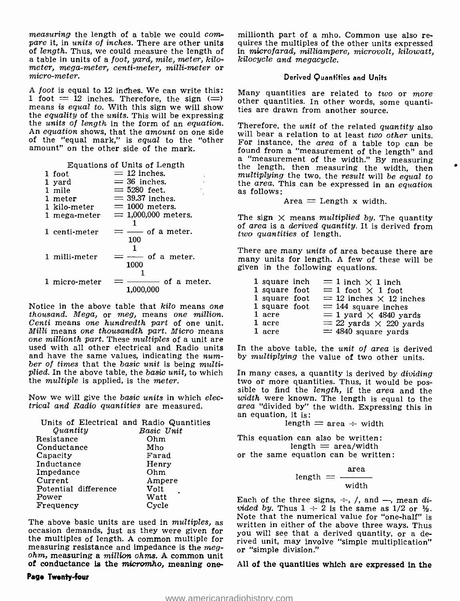*measuring* the length of a table we could  $com-$  millionth part of a mho. Common use also re-<br>*pare* it, in *units of inches*. There are other units quires the multiples of the other units expressed of length. Thus, we could measure the length of a table in units of a foot, yard, mile, meter, kilometer, mega-meter, centi-meter, milli-meter or micro-meter.

A foot is equal to 12 inches. We can write this:<br>1 foot = 12 inches. Therefore, the sign  $(=)$ 1 foot  $= 12$  inches. Therefore, the sign ( $=$ ) other quantities. In other words, some quanti-<br>means is equal to. With this sign we will show ties are drawn from another source.<br>the equality of the wwits. This will be exp the units of length in the form of an equation. Therefore, the unit of the related quantity also<br>An equation shows, that the amount on one side will bear a relation to at least two other units. of the "equal mark," is equal to the "other Form on the other side of the mark.

|               | Equations of Units of Length |
|---------------|------------------------------|
| 1 foot        | $= 12$ inches.               |
| 1 yard        | $=$ 36 inches.               |
| 1 mile        | $=$ 5280 feet.               |
| $1$ meter     | $=$ 39.37 inches.            |
| 1 kilo-meter  | $=$ 1000 meters.             |
| 1 mega-meter  | $= 1,000,000$ meters.        |
|               |                              |
| 1 centi-meter | - of a meter.                |
|               | 100                          |
|               | 1                            |
| 1 milli-meter | of a meter.                  |
|               | 1000                         |
|               |                              |
| 1 micro-meter | of a meter.                  |
|               | 1.000.000                    |

Notice in the above table that kilo means one thousand. Mega, or meg, means one million. Centi means one hundredth part of one unit. Milli means one thousandth part. Micro means one millionth part. These multiples of a unit are used with all other electrical and Radio units and have the same values, indicating the num-<br>ber of times that the basic unit is being multithe multiple is applied, is the meter.

Now we will give the basic units in which electrical and Radio quantities are measured.

| Units of Electrical and Radio Quantities |
|------------------------------------------|
| Basic Unit                               |
| Ohm                                      |
| Mho                                      |
| Farad                                    |
| Henry                                    |
| Ohm                                      |
| Ampere                                   |
| Volt                                     |
| Watt                                     |
| Cycle                                    |
|                                          |

the multiples of length. A common multiple for measuring resistance and impedance is the  $meg$ measuring resistance and impedance is the meg- or "simple division."<br>ohm, measuring a million ohms. A common unit of conductance is the micromho, meaning one-

### Page Twaniy -four

in microfarad, milliampere, microvolt, kilowatt, kilowatt, williampere, microvolt, kilowatt,

### Derived Quantifies and Unifs

Many quantities are related to two or more

Therefore, the unit of the related quantity also For instance, the *area* of a table top can be found from a "measurement of the length" and a "measurement of the width." By measuring the length, then *multiplying* the two, the *result* will be *equal* to the *area*. Th

 $Area = Length \times width.$ 

The sign  $\times$  means multiplied by. The quantity of area is a derived quantity. It is derived from two quantities of length.

There are many units of area because there are many units for length. A few of these will be given in the following equations.

In the above table, the unit of area is derived by multiplying the value of two other units.

plied. In the above table, the basic unit, to which In many cases, a quantity is derived by dividing the multiple is applied, is the meter. two or more quantities. Thus, it would be possible to find the length, if the area and the  $width$  were known. The length is equal to the area "divided by" the width. Expressing this in an equation, it is:

 $length = area + width$ 

This equation can also be written:<br>length  $=$  area/width or the same equation can be written:

> $length =$   $--$ area width

The above basic units are used in *multiples*, as **occasion** demands, just as they were given for  $\frac{1}{2}$  weill see that a derived quantity or a degree and  $\frac{1}{2}$  occasion demands, just as they were given for  $\frac{1}{2$ Each of the three signs,  $\div$ , /, and  $\multimap$ , mean  $di$ -<br>*vided by.* Thus 1  $\div$  2 is the same as 1/2 or ½.<br>Note that the numerical value for "one-half" is written in either of the above three ways. Thus you will see that a derived quantity, or a derived unit, may involve "simple multiplication"

## All of the quantities which are expressed in the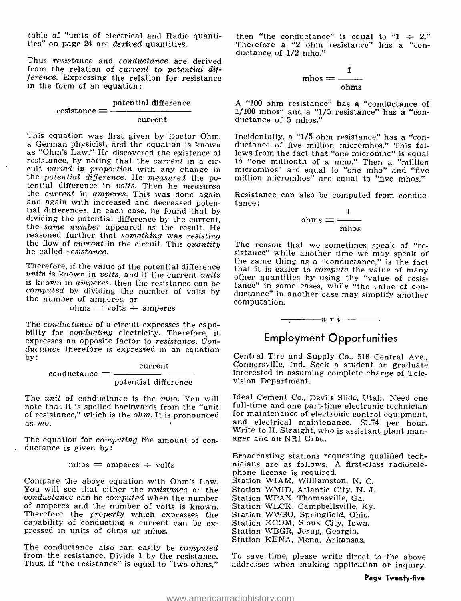table of "units of electrical and Radio quantities" on page 24 are *derived* quantities.

Thus resistance and conductance are derived from the relation of current to potential difference. Expressing the relation for resistance in the form of an equation:

## $resistance = \frac{potential difference}{current}$ current

This equation was first given by Doctor Ohm, a German physicist, and the equation is known as "Ohm's Law." He discovered the existence of resistance, by noting that the *current* in a circuit varied in proportion with any change in the potential difference. He measured the po-<br>tential difference in volts. Then he measured<br>the current in amperes. This was done again and again with increased and decreased potential differences. In each case, he found that by dividing the potential difference by the current, the *same number* appeared as the result. He reasoned further that something was resisting the flow of current in the circuit. This quantity he called resistance.

computed by dividing the number of volts by the number of amperes, or ohms  $=$  volts  $\div$  amperes

The conductance of a circuit expresses the capa-<br>bility for conducting electricity. Therefore, it expresses an opposite factor to resistance. Conductance therefore is expressed in an equation by:

 $\text{conductance} = \frac{\text{current}}{\text{notation of the region}}$ 

### potential difference

The *unit* of conductance is the mho. You will Ideal Cement Co., Devils Slide, Utah. Need one<br>note that it is spelled backwards from the "unit Iull-time and one part-time electronic technician note that it is spelled backwards from the "unit of resistance," which is the  $ohm$ . It is pronounced as  $mo$ .

The equation for *computing* the amount of con-<br>ductance is given by:

 $mhos = amperes \div volts$ 

Compare the above equation with Ohm's Law. You will see that either the *resistance* or the conductance can be computed when the number of amperes and the number of volts is known. Station WLCK, Campbellsville, Ky<br>Therefore the *property* which expresses the Station WWSO, Springfield, Ohio. Therefore the *property* which expresses the capability of conducting a current can be ex- pressed in units of ohms or mhos.

The conductance also can easily be *computed* Station KENA, Mena, Arkansas.<br>from the resistance. Divide 1 by the resistance. To save time, please write direc Thus, if "the resistance" is equal to "two ohms,"

then "the conductance" is equal to "1  $\div$  2." Therefore a "2 ohm resistance" has a "conductance of 1/2 mho."

$$
\mathrm{mhos} = \frac{1}{\mathrm{ohms}}
$$

A "100 ohm resistance" has a "conductance of  $1/100$  mhos" and a " $1/5$  resistance" has a "conductance of 5 mhos."

Incidentally, a "1/5 ohm resistance" has a "conductance of five million micromhos." This follows from the fact that "one micromho" is equal to "one millionth of a mho." Then a "million micromhos" are equal to "one mho" and "five million micromhos" are equal to "five mhos."

Resistance can also be computed from conductance:

$$
ohms = \frac{1}{mhos}
$$

Therefore, if the value of the potential difference<br>that it is easier to *compute* the value of many<br>is known in *amperes*, then the resistance can be<br>in the computer of the unities by using the "value of resis-<br>is known i The reason that we sometimes speak of "resistance" while another time we may speak of that it is easier to compute the value of many tance" in some cases, while "the value of con-<br>ductance" in another case may simplify another<br>computation. computation.<br> $\frac{u}{r}$   $\frac{u}{r}$   $\frac{u}{r}$   $\frac{u}{r}$   $\frac{u}{r}$   $\frac{u}{r}$ 



## Employment Opportunities

Central Tire and Supply Co., 518 Central Ave., Connersville, Ind. Seek a student or graduate interested in assuming complete charge of Television Department.

Ideal Cement Co., Devils Slide, Utah. Need one for maintenance of electronic control equipment, and electrical maintenance. \$1.74 per hour. Write to H. Straight, who is assistant plant man- ager and an NRI Grad.

Broadcasting stations requesting qualified technicians are as follows. A first-class radiotele-<br>phone license is required. Station WIAM, Williamston, N. C. Station WMID, Atlantic City, N. J. Station WPAX, Thomasville, Ga. Station WLCK, Campbellsville, Ky. Station WWSO, Springfield, Ohio. Station KCOM, Sioux City, Iowa. Station WBGR, Jesup, Georgia.

To save time, please write direct to the above addresses when making application or inquiry.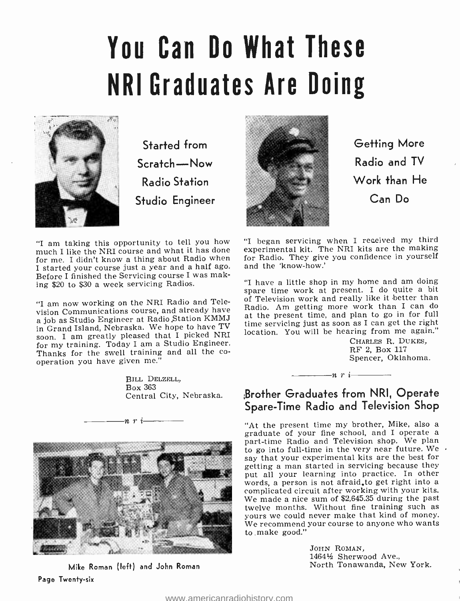# You Can Do What These NRI Graduates Are Doing



Started from Scratch-Now Radio Station Studio Engineer

"I am taking this opportunity to tell you how much I like the NRI course and what it has done for me. I didn't know a thing about Radio when I started your course just a year and a half ago. Before I finished the Servicing course I was making \$20 to \$30 a week servicing Radios.

"I am now working on the NRI Radio and Television Communications course, and already have<br>a job as Studio Engineer at Radio Station KMMJ<br>in Grand Island, Nebraska. We hope to have TV soon. I am greatly pleased that I picked NRI for my training. Today I am a Studio Engineer. Thanks for the swell training and all the co- operation you have given me."

> BILL DELZELL, Box 363 Central City, Nebraska.



Mike Roman (left) and John Roman Page Twenty-six



Getting More Radio and TV Work than He Can Do

"I began servicing when I received my third experimental kit. The NRI kits are the making for Radio. They give you confidence in yourself and the 'know-how.'

"I have a little shop in my home and am doing spare time work at present. I do quite a bit of Television work and really like it better than Radio. Am getting more work than I can do at the present time, and plan to go in for full time servicing just as soon as I can get the right location. You will be hearing from me again."

> CHARLES R. DUKES, RF 2, Box 117 Spencer, Oklahoma.

## ,Brother Graduates from NRI, Operate Spare -Time Radio and Television Shop

 $-n$  r i $-$ 

"At the present time my brother, Mike, also a graduate of your fine school, and I operate a part -time Radio and Television shop. We plan to go into full-time in the very near future. We say that your experimental kits are the best for getting a man started in servicing because they put all your learning into practice. In other words, a person is not afraid<sub>s</sub>to get right into a complicated circuit after working with your kits. We made a nice sum of \$2,645.35 during the past<br>twelve months. Without fine training such as yours we could never make that kind of money. We recommend your course to anyone who wants to make good."

> JOHN ROMAN, 14641/<sub>2</sub> Sherwood Ave., North Tonawanda, New York.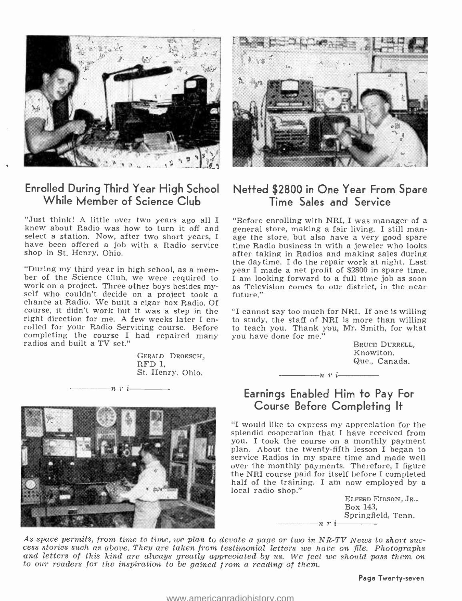

## Enrolled During Third Year High School While Member of Science Club

"Just think! A little over two years ago all I "Before enrolling with NRI, I was manager of a knew about Radio was how to turn it off and general store, making a fair living. I still manselect a station. Now, after two short years, I age the store, but also have a very good spare select a station. Now, after two short years, I age the store, but also have a very good spare<br>have been offered a job with a Radio service time Radio business in with a jeweler who looks have been offered a job with a Radio service shop in St. Henry, Ohio.

work on a project. Three other boys besides my- self who couldn't decide on a project took a chance at Radio. We built a cigar box Radio. Of course, it didn't work but it was a step in the rolled for your Radio Servicing course. Before completing the course I had repaired many radios and built a TV set."

> GERALD DROESCH, RFD 1, St. Henry, Ohio.

n r <sup>i</sup>





## Netted \$2800 in One Year From Spare Time Sales and Service

the daytime. I do the repair work at night. Last<br>
ber of the Science Club, we were required to I am looking forward to spare time.<br>
work on a project. Three other boys besides my-as Television comes to our district, in the general store, making a fair living. I still manafter taking in Radios and making sales during. year I made a net profit of \$2800 in spare time. I am looking forward to a full time job as soon future."

> "I cannot say too much for NRI. If one is willing to study, the staff of NRI is more than willing to teach you. Thank you, Mr. Smith, for what you have done for me."

> > BRUCE DURRELL, Knowlton. Que., Canada.

## Earnings Enabled Him to Pay For Course Before Completing It

 $n r i$ 

"I would like to express my appreciation for the splendid cooperation that I have received from you. I took the course on a monthly payment plan. About the twenty-fifth lesson I began to service Radios in my spare time and made well over the monthly payments. Therefore, I figure<br>the NRI course paid for itself before I completed<br>half of the training. I am now employed by a<br>local radio shop."

> $n r i$ ELFERD EIDSON, JR., Box 143, Springfield, Tenn.

As space permits, from time to time, we plan to devote a page or two in NR-TV News to short success stories such as above. They are taken from testimonial letters we have on file. Photographs and letters of this kind are

Page Twenty -seven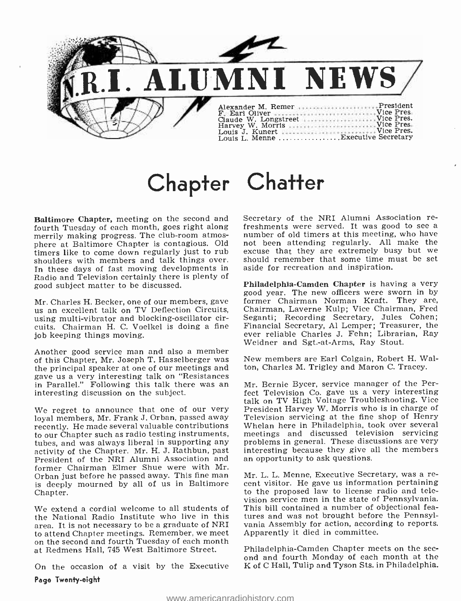

# Chapter Chatter

fourth Tuesday of each month, goes right along streshments were served. It was good to see a<br>merrily making progress. The club-room atmos-shumber of old timers at this meeting, who have merrily making progress. The club-room atmosphere at Baltimore Chapter is contagious. Old not been attending regularly. All make the timers like to come down regularly just to rub excuse that they are extremely busy but we<br>shoulders with members and talk things over. Should remember that some time must be set shoulders with members and talk things over. In these days of fast moving developments in Radio and Television certainly there is plenty of good subject matter to be discussed.

Mr. Charles H. Becker, one of our members, gave us an excellent talk on TV Deflection Circuits, using multi-vibrator and blocking-oscillator circuits. Chairman H. C. Voelkel is doing a fine job keeping things moving.

Another good service man and also a member the principal speaker at one of our meetings and gave us a very interesting talk on "Resistances in Parallel." Following this talk there was an interesting discussion on the subject.

We regret to announce that one of our very loyal members, Mr. Frank J. Orban, passed away recently. He made several valuable contributions to our Chapter such as radio testing instruments, tubes, and was always liberal in supporting any activity of the Chapter. Mr. H. J. Rathbun, past interesting because they give a<br>President of the NRI Alumni Association and an opportunity to ask questions. President of the NRI Alumni Association and former Chairman Elmer Shue were with Mr. Orban just before he passed away. This fine man Mr. L. L. Menne, Executive Secretary, was a re-<br>is deeply mourned by all of us in Baltimore cent visitor. He gave us information pertaining Chapter.

We extend a cordial welcome to all students of<br>the National Radio Institute who live in this area. It is not necessary to be a graduate of NRI<br>to attend Chapter meetings. Remember, we meet on the second and fourth Tuesday of each month at Redmens Hall, 745 West Baltimore Street.

On the occasion of a visit by the Executive Page Twenty -eight

**Baltimore Chapter,** meeting on the second and Secretary of the NRI Alumni Association re-<br>fourth Tuesday of each month, goes right along freshments were served. It was good to see a Secretary of the NRI Alumni Association reexcuse that they are extremely busy but we aside for recreation and inspiration.

> Philadelphia-Camden Chapter is having a very good year. The new officers were sworn in by former Chairman Norman Kraft. They are, Chairman, Laverne Kulp; Vice Chairman, Fred Seganti; Recording Secretary, Jules Cohen; Financial Secretary, Al Lemper; Treasurer, the ever reliable Charles J. Fehn; Librarian, Ray Weidner and Sgt.-at-Arms, Ray Stout.

New members are Earl Colgain, Robert H. Walton, Charles M. Trigley and Maron C. Tracey.

Mr. Bernie Bycer, service manager of the Perfect Television Co. gave us a very interesting talk on TV High Voltage Troubleshooting. Vice President Harvey W. Morris who is in charge of Television servicing at the fine shop of Henry Whelan here in Philadelphia, took over several meetings and discussed television servicing problems in general. These discussions are very interesting because they give all the members

Mr. L. L. Menne, Executive Secretary, was a reto the proposed law to license radio and television service men in the state of Pennsylvania. This bill contained a number of objectional features and was not brought before the Pennsylvania Assembly for action, according to reports. Apparently it died in committee.

Philadelphia- Camden Chapter meets on the sec- ond and fourth Monday of each month at the K of C Hall, Tulip and Tyson Sts. in Philadelphia.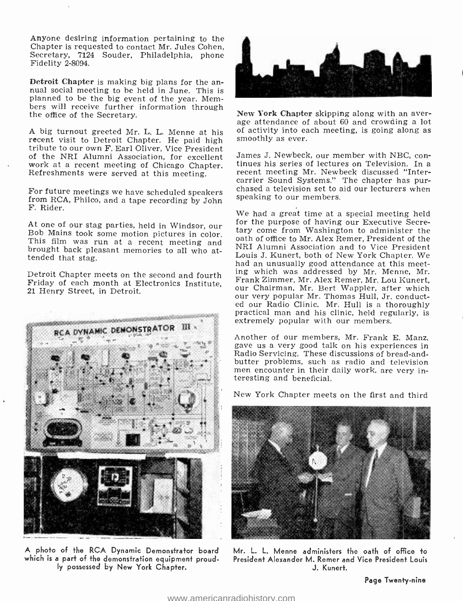Anyone desiring information pertaining to the Chapter is requested to contact Mr. Jules Cohen, Secretary, 7124 Souder, Philadelphia, phone<br>Fidelity 2-8094.

Detroit Chapter is making big plans for the an-<br>nual social meeting to be held in June. This is planned to be the big event of the year. Members will receive further information through the office of the Secretary.

A big turnout greeted Mr. L. L. Menne at his of activity into each recent visit to Detroit Chapter. He paid high smoothly as ever. recent visit to Detroit Chapter. He paid high smoothly as ever.<br>tribute to our own F. Earl Oliver, Vice President<br>of the NRI Alumni Association, for excellent James J. Newbeck, our member with NBC, conof the NRI Alumni Association, for excellent James J. Newbeck, our member with NBC, con-<br>work at a recent meeting of Chicago Chapter tinues his series of lectures on Television. In a work at a recent meeting of Chicago Chapter. Refreshments were served at this meeting.

F. Rider.

At one of our stag parties, held in Windsor, our Bob Mains took some motion pictures in color. This film was run at a recent meeting and brought back pleasant memories to all who attended that stag.

Detroit Chapter meets on the second and fourth Friday of each month at Electronics Institute, 21 Henry Street, in Detroit.



A photo of the RCA Dynamic Demonstrator board Mr. L. L. Menne administers the oath of office to which is a part of the demonstration equipment proud-<br>Iy possessed by New York Chapter.<br>J. Kunert. ly possessed by New York Chapter.



New York Chapter skipping along with an aver- age attendance of about 60 and crowding a lot of activity into each meeting, is going along as

For future meetings we have scheduled speakers chased a television set to aid our lecturers when from RCA, Philco, and a tape recording by John speaking to our members. recent meeting Mr. Newbeck discussed "Inter-<br>carrier Sound Systems." The chapter has purspeaking to our members.

> We had a great time at a special meeting held for the purpose of having our Executive Secretary come from Washington to administer the oath of office to Mr. Alex Remer, President of the NRI Alumni Association and to Vice President Louis J. Kunert, both of New York Chapter. We had an unusually good attendance at this meeting which was addressed by Mr. Menne, Mr. Frank Zimmer, Mr. Alex Remer, Mr. Lou Kunert, our Chairman, Mr. Bert Wappler, after which our very popular Mr. Thomas Hull, Jr. conducted our Radio Clinic. Mr. Hull is a thoroughly practical man and his clinic, held regularly, is extremely popular with our members.

> Another of our members, Mr. Frank E. Manz, gave us a very good talk on his experiences in Radio Servicing. These discussions of bread-andbutter problems, such as radio and television men encounter in their daily work, are very interesting and beneficial.

> New York Chapter meets on the first and third



Page Twenty -nine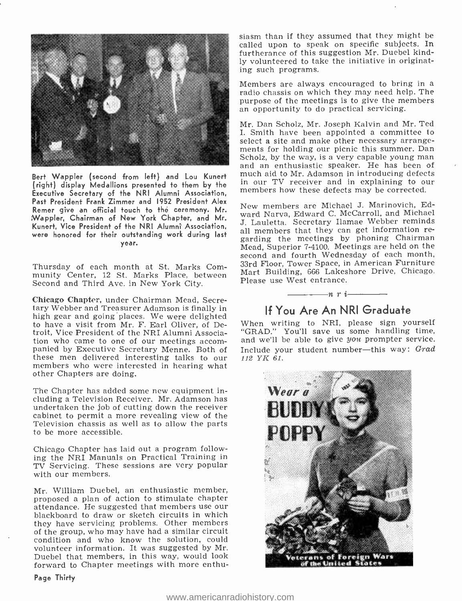

Bert Wappler (second from left) and Lou Kunert (right) display Medallions presented to them by the the published and the explaining to be (or the members how these defects may be corrected. Executive Secretary of the NRI Alumni Association, Past President Frank Zimmer and 1952 President Alex Remer give an official touch to thé ceremony. Mr. Wappler, Chairman of New York Chapter, and Mr. Kunert, Vice President of the NRI Alumni Association, were honored for their outstanding work during last all intentions that meetings by phoning Chairman year.

Thursday of each month at St. Marks Community Center, 12 St. Marks Place, between Second and Third Ave. in New York City.

Chicago Chapter, under Chairman Mead, Secretary Webber and Treasurer Adamson is finally in high gear and going places. We were delighted to have a visit from Mr. F. Earl Oliver, of Detroit, Vice President of the NRI Alumni Associapanied by Executive Secretary Menne. Both of<br>these men delivered interesting talks to our members who were interested in hearing what other Chapters are doing.

The Chapter has added some new equipment including a Television Receiver. Mr. Adamson has undertaken the job of cutting down the receiver cabinet to permit a more revealing view of the Television chassis as well as to allow the parts to be more accessible.

Chicago Chapter has laid out a program following the NRI Manuals on Practical Training in TV Servicing. These sessions are very popular with our members.

Mr. William Duebel, an enthusiastic member, proposed a plan of action to stimulate chapter attendance. He suggested that members use our blackboard to draw or sketch circuits in which they have servicing problems. Other members of the group, who may have had a similar circuit condition and who know the solution, could volunteer information. It was suggested by Mr. Duebel that members, in this way, would look forward to Chapter meetings with more enthusiasm than if they assumed that they might be called upon to speak on specific subjects. In furtherance of this suggestion Mr. Duebel kindly volunteered to take the initiative in originating such programs.

Members are always encouraged to bring in a radio chassis on which they may need help. The purpose of the meetings is to give the members an opportunity to do practical servicing.

Mr. Dan Scholz, Mr. Joseph Kalvin and Mr. Ted I. Smith have been appointed a committee to select a site and make other necessary arrangements for holding our picnic this summer. Dan<br>Scholz, by the way, is a very capable young man and an enthusiastic speaker. He has been of much aid to Mr. Adamson in introducing defects in our TV receiver and in explaining to our

New members are Michael J. Marinovich, Edward Narva, Edward C. McCarroll, and Michael J. Lauletta. Secretary Ilamae Webber reminds all members that they can get information re-Mead, Superior 7-4100. Meetings are held on the second and fourth Wednesday of each month, 33rd Floor, Tower Space, in American Furniture Mart Building, 666 Lakeshore Drive, Chicago. Please use West entrance.

## $\frac{1}{\sqrt{n}}$   $\frac{n}{i}$ If You Are An NRI Graduate

When writing to NRI, please sign yourself "GRAD." You'll save us some handling time, and we'll be able to give you prompter service. Include your student number-this way:  $Grad$ 112 YK 61.

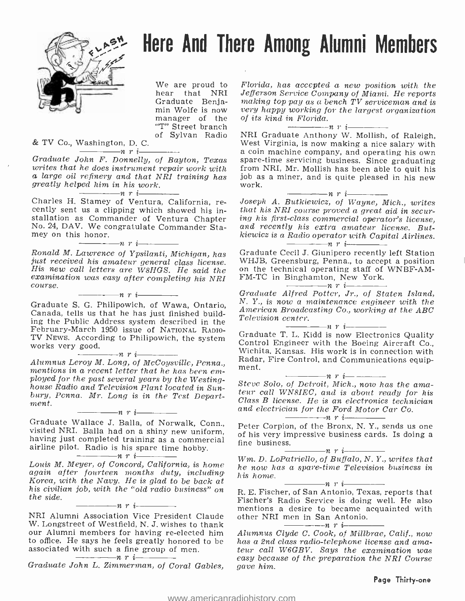

# Here And There Among Alumni Members

We are proud to of Sylvan Radio

& TV Co., Washington, D. C.

writes that he does instrument repair work with a large oil refinery and that NRI training has greatly helped him in his work.<br>  $\begin{array}{c}\nT_n = n \cdot i \\
\hline\n\end{array}$   $\begin{array}{c}\n\text{Charles H. Stamey of Ventura, California, re-} \\
\end{array}$ 

cently sent us a clipping which showed his in-<br>stallation as Commander of Ventura Chapter<br>No. 24, DAV. We congratulate Commander Stamey on this honor.<br> $\overline{\phantom{a}}$   $\overline{\phantom{a}}$   $\overline{\phantom{a}}$   $\overline{\phantom{a}}$   $\overline{\phantom{a}}$   $\overline{\phantom{a}}$   $\overline{\phantom{a}}$   $\overline{\phantom{a}}$   $\overline{\phantom{a}}$   $\overline{\phantom{a}}$   $\overline{\phantom{a}}$   $\overline{\phantom{a}}$   $\overline{\phantom{a}}$   $\overline{\phantom{a}}$   $\overline{\phantom{a}}$   $\overline{\phantom{a}}$   $\overline{\phantom{a}}$ 

Ronald M. Lawrence of Ypsilanti, Michigan, has just received his amateur general class license.<br>His new call letters are W8HGS. He said the examination was easy after completing his NRI course.<br> $\begin{array}{r} \n\hline\n\end{array}$   $\begin{array}{$ 

Graduate S. G. Philipowich, of Wawa, Ontario, Canada, tells us that he has just finished building the Public Address system described in the TV News. According to Philipowich, the system<br>works very good.<br> $n \cdot \frac{n \cdot \cdot \cdot n}{\cdot \cdot \cdot \cdot \cdot n}$ . Alumnus Leroy M. Long, of McCousville, Penna.

mentions in a recent letter that he has been em-<br>ployed for the past several years by the Westing-<br>house Radio and Television Plant located in Sunbury, Penna. Mr. Long is in the Test Depart-<br>ment.

Graduate Wallace J. Balla, of Norwalk, Conn., Peter Corpion, of the Bronx, N.Y., sends us one visited NRI. Balla had on a shiny new uniform, of his very impressive business cards. Is doing a having just completed training airline pilot. Radio is his spare time hobby.<br> $\frac{1}{\sqrt{1-\frac{1}{n}}}\cdot\frac{1}{\sqrt{1-\frac{1}{n}}}\cdot\frac{1}{\sqrt{1-\frac{1}{n}}}\cdot\frac{1}{\sqrt{1-\frac{1}{n}}}\cdot\frac{1}{\sqrt{1-\frac{1}{n}}}\cdot\frac{1}{\sqrt{1-\frac{1}{n}}}\cdot\frac{1}{\sqrt{1-\frac{1}{n}}}\cdot\frac{1}{\sqrt{1-\frac{1}{n}}}\cdot\frac{1}{\sqrt{1-\frac{1}{n}}}\cdot\frac{1}{\sqrt{1-\frac{$ 

 $-\cdots$ n r i $-$ 

Louis M. Meyer, of Concord, California, is home again after fourteen months duty, including  $\mu$  his home.<br>Korea, with the Navy. He is glad to be back at his civilian job, with the "old radio business" on the side.<br> $\frac{m}{2}$   $\frac{n}{2}$   $\frac{n}{2}$   $\frac{n}{2}$   $\frac{n}{2}$ 

NRI Alumni Association Vice President Claude W. Longstreet of Westfield, N. J. wishes to thank our Alumni members for having re-elected him to office. He says he feels greatly honored to be has a 2nd class radio-telephone license and amaassociated with such a fine group of men.<br> $\overline{n}$   $\overline{r}$   $\overline{i}$   $\overline{\cdots}$ 

hear that NRI Jefferson Service Company of Miami. He reports<br>Graduate Benja- making top pay as a bench TV serviceman and is Graduate Benja- making top pay as a b min Wolfe is now very happy working  $f_0$  manager of the of its kind in Florida. Florida, has accepted a new position with the Jefferson Service Company of Miami. He reports very happy working for the largest organization<br>of its kind in Florida.<br> $\frac{1}{\sqrt{1-\frac{1}{n}}}\int_{0}^{\pi}$  i

"T" Street branch<br>of Sylvan Radio NRI Graduate Anthony W. Mollish, of Raleigh, Graduate John F. Donnelly, of Bayton, Texas spare-time servicing business. Since graduating writes that he does instrument repair work with from NRI, Mr. Mollish has been able to quit his West Virginia, is now making a nice salary with job as a miner, and is quite pleased in his new work.<br> $\overline{n r i \overline{\smash{\big)}\smash{\big)}\substack{n \text{ } r \text{ } i \text{ } \text{ } n \text{ } c \text{ } n \text{ } c \text{ } n}}$ 

that his NRI course proved a great aid in securing his first-class commercial operator's license,<br>and recently his extra amateur license. But-<br>kiewicz is a Radio operator with Capital Airlines.<br> $\frac{m}{n}$   $\frac{m}{n}$   $\frac{1}{n$ 

Graduate Cecil J. Giunipero recently left Station WHJB, Greensburg, Penna., to accept a position<br>on the technical operating staff of WNBF-AM-FM-TC in Binghamton, New York.

 $\frac{1}{\cdot}$  - - - - n r i -Graduate Alfred Potter, Jr., of Staten Island, N. Y., is now a maintenance engineer with the American Broadcasting Co., working at the ABC Television center.<br> $\frac{1}{\sqrt{1-\frac{1}{n}}}\frac{1}{\sqrt{n}}$ 

Graduate T. L. Kidd is now Electronics Quality Control Engineer with the Boeing Aircraft Co., Wichita, Kansas. His work is in connection with Radar, Fire Control, and Communications equip-<br>ment.  $\frac{n}{1-\frac{1}{2}}$   $\frac{n}{1-\frac{1}{2}}$   $\frac{n}{1-\frac{1}{2}}$ 

Steve Solo, of Detroit, Mich., now has the ama- teur call WN8IEC, and is about ready for his Class B license. He is an electronics technician and electrician for the Ford Motor Car Co.

Peter Corpion, of the Bronx, N. Y., sends us one of his very impressive business cards. Is doing a fine business.  $\frac{1}{1-\epsilon}$   $\frac{n}{1-\epsilon}$   $\frac{n}{1-\epsilon}$ 

Wm. D. LoPatriello, of Buffalo, N. Y., writes that he now has a spare -time Television business in his home.<br>R. E. Fischer, of San Antonio, Texas, reports that

Fischer's Radio Service is doing well. He also mentions a desire to became acquainted with other NRI men in San Antonio.<br> $\frac{m}{r}$ 

Graduate John L. Zimmerman, of Coral Gables, agve him.<br> $G$ Alumnus Clyde C. Cook, of Millbrae, Calif., now teur call W6GBV. Says the examination was gave him.